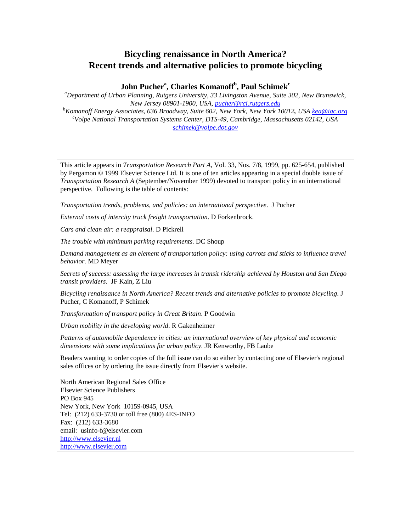# **Bicycling renaissance in North America? Recent trends and alternative policies to promote bicycling**

**John Pucher<sup>a</sup> , Charles Komanoff<sup>b</sup> , Paul Schimek<sup>c</sup>**

*<sup>a</sup>Department of Urban Planning, Rutgers University, 33 Livingston Avenue, Suite 302, New Brunswick, New Jersey 08901-1900, USA, pucher@rci.rutgers.edu* <sup>b</sup>*Komanoff Energy Associates, 636 Broadway, Suite 602, New York, New York 10012, USA kea@igc.org <sup>c</sup>Volpe National Transportation Systems Center, DTS-49, Cambridge, Massachusetts 02142, USA schimek@volpe.dot.gov*

This article appears in *Transportation Research Part A,* Vol. 33, Nos. 7/8, 1999, pp. 625-654, published by Pergamon © 1999 Elsevier Science Ltd. It is one of ten articles appearing in a special double issue of *Transportation Research A* (September/November 1999) devoted to transport policy in an international perspective. Following is the table of contents:

*Transportation trends, problems, and policies: an international perspective*. J Pucher

*External costs of intercity truck freight transportation*. D Forkenbrock.

*Cars and clean air: a reappraisal*. D Pickrell

*The trouble with minimum parking requirements*. DC Shoup

*Demand management as an element of transportation policy: using carrots and sticks to influence travel behavior*. MD Meyer

*Secrets of success: assessing the large increases in transit ridership achieved by Houston and San Diego transit providers*. JF Kain, Z Liu

*Bicycling renaissance in North America? Recent trends and alternative policies to promote bicycling*. J Pucher, C Komanoff, P Schimek

*Transformation of transport policy in Great Britain*. P Goodwin

*Urban mobility in the developing world*. R Gakenheimer

*Patterns of automobile dependence in cities: an international overview of key physical and economic dimensions with some implications for urban policy*. JR Kenworthy, FB Laube

Readers wanting to order copies of the full issue can do so either by contacting one of Elsevier's regional sales offices or by ordering the issue directly from Elsevier's website.

North American Regional Sales Office Elsevier Science Publishers PO Box 945 New York, New York 10159-0945, USA Tel: (212) 633-3730 or toll free (800) 4ES-INFO Fax: (212) 633-3680 email: usinfo-f@elsevier.com http://www.elsevier.nl http://www.elsevier.com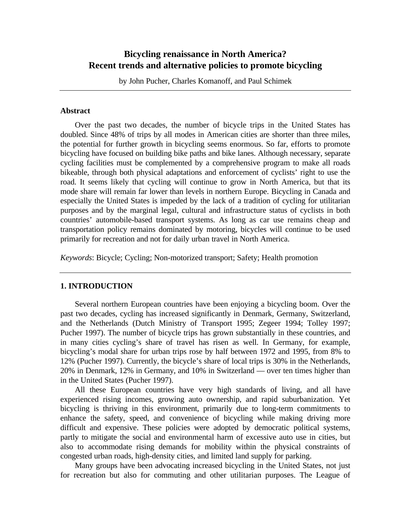# **Bicycling renaissance in North America? Recent trends and alternative policies to promote bicycling**

by John Pucher, Charles Komanoff, and Paul Schimek

# **Abstract**

Over the past two decades, the number of bicycle trips in the United States has doubled. Since 48% of trips by all modes in American cities are shorter than three miles, the potential for further growth in bicycling seems enormous. So far, efforts to promote bicycling have focused on building bike paths and bike lanes. Although necessary, separate cycling facilities must be complemented by a comprehensive program to make all roads bikeable, through both physical adaptations and enforcement of cyclists' right to use the road. It seems likely that cycling will continue to grow in North America, but that its mode share will remain far lower than levels in northern Europe. Bicycling in Canada and especially the United States is impeded by the lack of a tradition of cycling for utilitarian purposes and by the marginal legal, cultural and infrastructure status of cyclists in both countries' automobile-based transport systems. As long as car use remains cheap and transportation policy remains dominated by motoring, bicycles will continue to be used primarily for recreation and not for daily urban travel in North America.

*Keywords*: Bicycle; Cycling; Non-motorized transport; Safety; Health promotion

# **1. INTRODUCTION**

Several northern European countries have been enjoying a bicycling boom. Over the past two decades, cycling has increased significantly in Denmark, Germany, Switzerland, and the Netherlands (Dutch Ministry of Transport 1995; Zegeer 1994; Tolley 1997; Pucher 1997). The number of bicycle trips has grown substantially in these countries, and in many cities cycling's share of travel has risen as well. In Germany, for example, bicycling's modal share for urban trips rose by half between 1972 and 1995, from 8% to 12% (Pucher 1997). Currently, the bicycle's share of local trips is 30% in the Netherlands, 20% in Denmark, 12% in Germany, and 10% in Switzerland — over ten times higher than in the United States (Pucher 1997).

All these European countries have very high standards of living, and all have experienced rising incomes, growing auto ownership, and rapid suburbanization. Yet bicycling is thriving in this environment, primarily due to long-term commitments to enhance the safety, speed, and convenience of bicycling while making driving more difficult and expensive. These policies were adopted by democratic political systems, partly to mitigate the social and environmental harm of excessive auto use in cities, but also to accommodate rising demands for mobility within the physical constraints of congested urban roads, high-density cities, and limited land supply for parking.

Many groups have been advocating increased bicycling in the United States, not just for recreation but also for commuting and other utilitarian purposes. The League of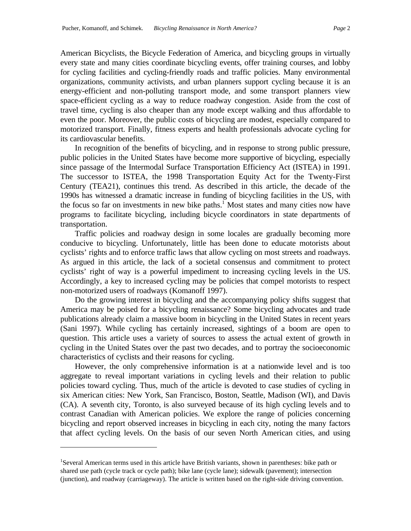American Bicyclists, the Bicycle Federation of America, and bicycling groups in virtually every state and many cities coordinate bicycling events, offer training courses, and lobby for cycling facilities and cycling-friendly roads and traffic policies. Many environmental organizations, community activists, and urban planners support cycling because it is an energy-efficient and non-polluting transport mode, and some transport planners view space-efficient cycling as a way to reduce roadway congestion. Aside from the cost of travel time, cycling is also cheaper than any mode except walking and thus affordable to even the poor. Moreover, the public costs of bicycling are modest, especially compared to motorized transport. Finally, fitness experts and health professionals advocate cycling for its cardiovascular benefits.

In recognition of the benefits of bicycling, and in response to strong public pressure, public policies in the United States have become more supportive of bicycling, especially since passage of the Intermodal Surface Transportation Efficiency Act (ISTEA) in 1991. The successor to ISTEA, the 1998 Transportation Equity Act for the Twenty-First Century (TEA21), continues this trend. As described in this article, the decade of the 1990s has witnessed a dramatic increase in funding of bicycling facilities in the US, with the focus so far on investments in new bike paths.<sup>1</sup> Most states and many cities now have programs to facilitate bicycling, including bicycle coordinators in state departments of transportation.

Traffic policies and roadway design in some locales are gradually becoming more conducive to bicycling. Unfortunately, little has been done to educate motorists about cyclists' rights and to enforce traffic laws that allow cycling on most streets and roadways. As argued in this article, the lack of a societal consensus and commitment to protect cyclists' right of way is a powerful impediment to increasing cycling levels in the US. Accordingly, a key to increased cycling may be policies that compel motorists to respect non-motorized users of roadways (Komanoff 1997).

Do the growing interest in bicycling and the accompanying policy shifts suggest that America may be poised for a bicycling renaissance? Some bicycling advocates and trade publications already claim a massive boom in bicycling in the United States in recent years (Sani 1997). While cycling has certainly increased, sightings of a boom are open to question. This article uses a variety of sources to assess the actual extent of growth in cycling in the United States over the past two decades, and to portray the socioeconomic characteristics of cyclists and their reasons for cycling.

However, the only comprehensive information is at a nationwide level and is too aggregate to reveal important variations in cycling levels and their relation to public policies toward cycling. Thus, much of the article is devoted to case studies of cycling in six American cities: New York, San Francisco, Boston, Seattle, Madison (WI), and Davis (CA). A seventh city, Toronto, is also surveyed because of its high cycling levels and to contrast Canadian with American policies. We explore the range of policies concerning bicycling and report observed increases in bicycling in each city, noting the many factors that affect cycling levels. On the basis of our seven North American cities, and using

-

<sup>&</sup>lt;sup>1</sup>Several American terms used in this article have British variants, shown in parentheses: bike path or shared use path (cycle track or cycle path); bike lane (cycle lane); sidewalk (pavement); intersection (junction), and roadway (carriageway). The article is written based on the right-side driving convention.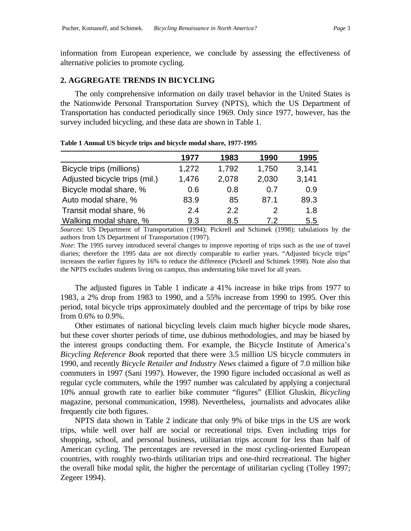information from European experience, we conclude by assessing the effectiveness of alternative policies to promote cycling.

### **2. AGGREGATE TRENDS IN BICYCLING**

The only comprehensive information on daily travel behavior in the United States is the Nationwide Personal Transportation Survey (NPTS), which the US Department of Transportation has conducted periodically since 1969. Only since 1977, however, has the survey included bicycling, and these data are shown in Table 1.

|                               | 1977  | 1983  | 1990  | 1995  |
|-------------------------------|-------|-------|-------|-------|
| Bicycle trips (millions)      | 1,272 | 1,792 | 1,750 | 3,141 |
| Adjusted bicycle trips (mil.) | 1,476 | 2,078 | 2,030 | 3,141 |
| Bicycle modal share, %        | 0.6   | 0.8   | 0.7   | 0.9   |
| Auto modal share, %           | 83.9  | 85    | 87.1  | 89.3  |
| Transit modal share, %        | 2.4   | 2.2   | 2     | 1.8   |
| Walking modal share, %        | 9.3   | 8.5   | 72    | 5.5   |

**Table 1 Annual US bicycle trips and bicycle modal share, 1977-1995**

*Sources*: US Department of Transportation (1994); Pickrell and Schimek (1998); tabulations by the authors from US Department of Transportation (1997).

*Note*: The 1995 survey introduced several changes to improve reporting of trips such as the use of travel diaries; therefore the 1995 data are not directly comparable to earlier years. "Adjusted bicycle trips" increases the earlier figures by 16% to reduce the difference (Pickrell and Schimek 1998). Note also that the NPTS excludes students living on campus, thus understating bike travel for all years.

The adjusted figures in Table 1 indicate a 41% increase in bike trips from 1977 to 1983, a 2% drop from 1983 to 1990, and a 55% increase from 1990 to 1995. Over this period, total bicycle trips approximately doubled and the percentage of trips by bike rose from 0.6% to 0.9%.

Other estimates of national bicycling levels claim much higher bicycle mode shares, but these cover shorter periods of time, use dubious methodologies, and may be biased by the interest groups conducting them. For example, the Bicycle Institute of America's *Bicycling Reference Book* reported that there were 3.5 million US bicycle commuters in 1990, and recently *Bicycle Retailer and Industry News* claimed a figure of 7.0 million bike commuters in 1997 (Sani 1997). However, the 1990 figure included occasional as well as regular cycle commuters, while the 1997 number was calculated by applying a conjectural 10% annual growth rate to earlier bike commuter "figures" (Elliot Gluskin, *Bicycling* magazine, personal communication, 1998). Nevertheless, journalists and advocates alike frequently cite both figures.

NPTS data shown in Table 2 indicate that only 9% of bike trips in the US are work trips, while well over half are social or recreational trips. Even including trips for shopping, school, and personal business, utilitarian trips account for less than half of American cycling. The percentages are reversed in the most cycling-oriented European countries, with roughly two-thirds utilitarian trips and one-third recreational. The higher the overall bike modal split, the higher the percentage of utilitarian cycling (Tolley 1997; Zegeer 1994).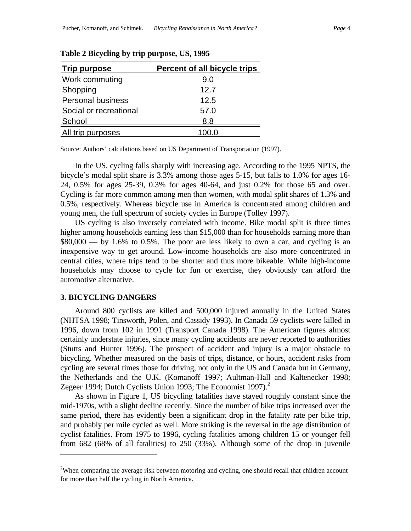| <b>Trip purpose</b>      | Percent of all bicycle trips |
|--------------------------|------------------------------|
| Work commuting           | 9.0                          |
| Shopping                 | 12.7                         |
| <b>Personal business</b> | 12.5                         |
| Social or recreational   | 57.0                         |
| School                   | 8.8                          |
| All trip purposes        | 100.0                        |

**Table 2 Bicycling by trip purpose, US, 1995**

Source: Authors' calculations based on US Department of Transportation (1997).

In the US, cycling falls sharply with increasing age. According to the 1995 NPTS, the bicycle's modal split share is 3.3% among those ages 5-15, but falls to 1.0% for ages 16- 24, 0.5% for ages 25-39, 0.3% for ages 40-64, and just 0.2% for those 65 and over. Cycling is far more common among men than women, with modal split shares of 1.3% and 0.5%, respectively. Whereas bicycle use in America is concentrated among children and young men, the full spectrum of society cycles in Europe (Tolley 1997).

US cycling is also inversely correlated with income. Bike modal split is three times higher among households earning less than \$15,000 than for households earning more than  $$80,000 - by 1.6\%$  to 0.5%. The poor are less likely to own a car, and cycling is an inexpensive way to get around. Low-income households are also more concentrated in central cities, where trips tend to be shorter and thus more bikeable. While high-income households may choose to cycle for fun or exercise, they obviously can afford the automotive alternative.

#### **3. BICYCLING DANGERS**

-

Around 800 cyclists are killed and 500,000 injured annually in the United States (NHTSA 1998; Tinsworth, Polen, and Cassidy 1993). In Canada 59 cyclists were killed in 1996, down from 102 in 1991 (Transport Canada 1998). The American figures almost certainly understate injuries, since many cycling accidents are never reported to authorities (Stutts and Hunter 1996). The prospect of accident and injury is a major obstacle to bicycling. Whether measured on the basis of trips, distance, or hours, accident risks from cycling are several times those for driving, not only in the US and Canada but in Germany, the Netherlands and the U.K. (Komanoff 1997; Aultman-Hall and Kaltenecker 1998; Zegeer 1994; Dutch Cyclists Union 1993; The Economist 1997). $^2$ 

As shown in Figure 1, US bicycling fatalities have stayed roughly constant since the mid-1970s, with a slight decline recently. Since the number of bike trips increased over the same period, there has evidently been a significant drop in the fatality rate per bike trip, and probably per mile cycled as well. More striking is the reversal in the age distribution of cyclist fatalities. From 1975 to 1996, cycling fatalities among children 15 or younger fell from 682 (68% of all fatalities) to 250 (33%). Although some of the drop in juvenile

<sup>&</sup>lt;sup>2</sup>When comparing the average risk between motoring and cycling, one should recall that children account for more than half the cycling in North America.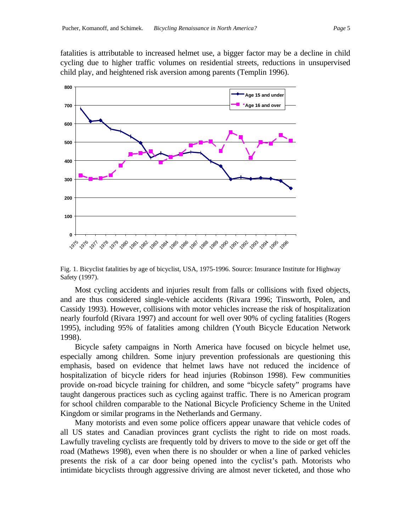fatalities is attributable to increased helmet use, a bigger factor may be a decline in child cycling due to higher traffic volumes on residential streets, reductions in unsupervised child play, and heightened risk aversion among parents (Templin 1996).



Fig. 1. Bicyclist fatalities by age of bicyclist, USA, 1975-1996. Source: Insurance Institute for Highway Safety (1997).

Most cycling accidents and injuries result from falls or collisions with fixed objects, and are thus considered single-vehicle accidents (Rivara 1996; Tinsworth, Polen, and Cassidy 1993). However, collisions with motor vehicles increase the risk of hospitalization nearly fourfold (Rivara 1997) and account for well over 90% of cycling fatalities (Rogers 1995), including 95% of fatalities among children (Youth Bicycle Education Network 1998).

Bicycle safety campaigns in North America have focused on bicycle helmet use, especially among children. Some injury prevention professionals are questioning this emphasis, based on evidence that helmet laws have not reduced the incidence of hospitalization of bicycle riders for head injuries (Robinson 1998). Few communities provide on-road bicycle training for children, and some "bicycle safety" programs have taught dangerous practices such as cycling against traffic. There is no American program for school children comparable to the National Bicycle Proficiency Scheme in the United Kingdom or similar programs in the Netherlands and Germany.

Many motorists and even some police officers appear unaware that vehicle codes of all US states and Canadian provinces grant cyclists the right to ride on most roads. Lawfully traveling cyclists are frequently told by drivers to move to the side or get off the road (Mathews 1998), even when there is no shoulder or when a line of parked vehicles presents the risk of a car door being opened into the cyclist's path. Motorists who intimidate bicyclists through aggressive driving are almost never ticketed, and those who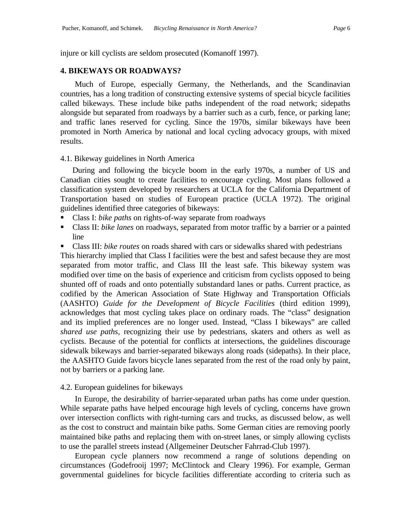injure or kill cyclists are seldom prosecuted (Komanoff 1997).

### **4. BIKEWAYS OR ROADWAYS?**

Much of Europe, especially Germany, the Netherlands, and the Scandinavian countries, has a long tradition of constructing extensive systems of special bicycle facilities called bikeways. These include bike paths independent of the road network; sidepaths alongside but separated from roadways by a barrier such as a curb, fence, or parking lane; and traffic lanes reserved for cycling. Since the 1970s, similar bikeways have been promoted in North America by national and local cycling advocacy groups, with mixed results.

# 4.1. Bikeway guidelines in North America

During and following the bicycle boom in the early 1970s, a number of US and Canadian cities sought to create facilities to encourage cycling. Most plans followed a classification system developed by researchers at UCLA for the California Department of Transportation based on studies of European practice (UCLA 1972). The original guidelines identified three categories of bikeways:

- ß Class I: *bike paths* on rights-of-way separate from roadways
- ß Class II: *bike lanes* on roadways, separated from motor traffic by a barrier or a painted line
- ß Class III: *bike routes* on roads shared with cars or sidewalks shared with pedestrians

This hierarchy implied that Class I facilities were the best and safest because they are most separated from motor traffic, and Class III the least safe. This bikeway system was modified over time on the basis of experience and criticism from cyclists opposed to being shunted off of roads and onto potentially substandard lanes or paths. Current practice, as codified by the American Association of State Highway and Transportation Officials (AASHTO) *Guide for the Development of Bicycle Facilities* (third edition 1999), acknowledges that most cycling takes place on ordinary roads. The "class" designation and its implied preferences are no longer used. Instead, "Class I bikeways" are called *shared use paths,* recognizing their use by pedestrians, skaters and others as well as cyclists. Because of the potential for conflicts at intersections, the guidelines discourage sidewalk bikeways and barrier-separated bikeways along roads (sidepaths). In their place, the AASHTO Guide favors bicycle lanes separated from the rest of the road only by paint, not by barriers or a parking lane.

# 4.2. European guidelines for bikeways

In Europe, the desirability of barrier-separated urban paths has come under question. While separate paths have helped encourage high levels of cycling, concerns have grown over intersection conflicts with right-turning cars and trucks, as discussed below, as well as the cost to construct and maintain bike paths. Some German cities are removing poorly maintained bike paths and replacing them with on-street lanes, or simply allowing cyclists to use the parallel streets instead (Allgemeiner Deutscher Fahrrad-Club 1997).

European cycle planners now recommend a range of solutions depending on circumstances (Godefrooij 1997; McClintock and Cleary 1996). For example, German governmental guidelines for bicycle facilities differentiate according to criteria such as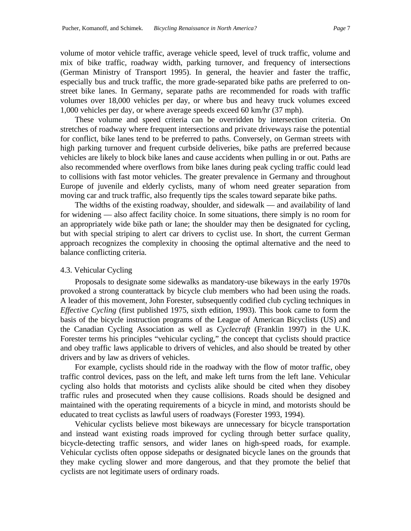volume of motor vehicle traffic, average vehicle speed, level of truck traffic, volume and mix of bike traffic, roadway width, parking turnover, and frequency of intersections (German Ministry of Transport 1995). In general, the heavier and faster the traffic, especially bus and truck traffic, the more grade-separated bike paths are preferred to onstreet bike lanes. In Germany, separate paths are recommended for roads with traffic volumes over 18,000 vehicles per day, or where bus and heavy truck volumes exceed 1,000 vehicles per day, or where average speeds exceed 60 km/hr (37 mph).

These volume and speed criteria can be overridden by intersection criteria. On stretches of roadway where frequent intersections and private driveways raise the potential for conflict, bike lanes tend to be preferred to paths. Conversely, on German streets with high parking turnover and frequent curbside deliveries, bike paths are preferred because vehicles are likely to block bike lanes and cause accidents when pulling in or out. Paths are also recommended where overflows from bike lanes during peak cycling traffic could lead to collisions with fast motor vehicles. The greater prevalence in Germany and throughout Europe of juvenile and elderly cyclists, many of whom need greater separation from moving car and truck traffic, also frequently tips the scales toward separate bike paths.

The widths of the existing roadway, shoulder, and sidewalk — and availability of land for widening — also affect facility choice. In some situations, there simply is no room for an appropriately wide bike path or lane; the shoulder may then be designated for cycling, but with special striping to alert car drivers to cyclist use. In short, the current German approach recognizes the complexity in choosing the optimal alternative and the need to balance conflicting criteria.

# 4.3. Vehicular Cycling

Proposals to designate some sidewalks as mandatory-use bikeways in the early 1970s provoked a strong counterattack by bicycle club members who had been using the roads. A leader of this movement, John Forester, subsequently codified club cycling techniques in *Effective Cycling* (first published 1975, sixth edition, 1993). This book came to form the basis of the bicycle instruction programs of the League of American Bicyclists (US) and the Canadian Cycling Association as well as *Cyclecraft* (Franklin 1997) in the U.K. Forester terms his principles "vehicular cycling," the concept that cyclists should practice and obey traffic laws applicable to drivers of vehicles, and also should be treated by other drivers and by law as drivers of vehicles.

For example, cyclists should ride in the roadway with the flow of motor traffic, obey traffic control devices, pass on the left, and make left turns from the left lane. Vehicular cycling also holds that motorists and cyclists alike should be cited when they disobey traffic rules and prosecuted when they cause collisions. Roads should be designed and maintained with the operating requirements of a bicycle in mind, and motorists should be educated to treat cyclists as lawful users of roadways (Forester 1993, 1994).

Vehicular cyclists believe most bikeways are unnecessary for bicycle transportation and instead want existing roads improved for cycling through better surface quality, bicycle-detecting traffic sensors, and wider lanes on high-speed roads, for example. Vehicular cyclists often oppose sidepaths or designated bicycle lanes on the grounds that they make cycling slower and more dangerous, and that they promote the belief that cyclists are not legitimate users of ordinary roads.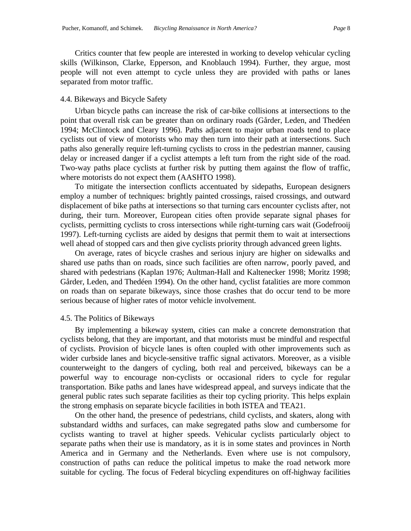Critics counter that few people are interested in working to develop vehicular cycling skills (Wilkinson, Clarke, Epperson, and Knoblauch 1994). Further, they argue, most people will not even attempt to cycle unless they are provided with paths or lanes separated from motor traffic.

# 4.4. Bikeways and Bicycle Safety

Urban bicycle paths can increase the risk of car-bike collisions at intersections to the point that overall risk can be greater than on ordinary roads (Gårder, Leden, and Thedéen 1994; McClintock and Cleary 1996). Paths adjacent to major urban roads tend to place cyclists out of view of motorists who may then turn into their path at intersections. Such paths also generally require left-turning cyclists to cross in the pedestrian manner, causing delay or increased danger if a cyclist attempts a left turn from the right side of the road. Two-way paths place cyclists at further risk by putting them against the flow of traffic, where motorists do not expect them (AASHTO 1998).

To mitigate the intersection conflicts accentuated by sidepaths, European designers employ a number of techniques: brightly painted crossings, raised crossings, and outward displacement of bike paths at intersections so that turning cars encounter cyclists after, not during, their turn. Moreover, European cities often provide separate signal phases for cyclists, permitting cyclists to cross intersections while right-turning cars wait (Godefrooij 1997). Left-turning cyclists are aided by designs that permit them to wait at intersections well ahead of stopped cars and then give cyclists priority through advanced green lights.

On average, rates of bicycle crashes and serious injury are higher on sidewalks and shared use paths than on roads, since such facilities are often narrow, poorly paved, and shared with pedestrians (Kaplan 1976; Aultman-Hall and Kaltenecker 1998; Moritz 1998; Gårder, Leden, and Thedéen 1994). On the other hand, cyclist fatalities are more common on roads than on separate bikeways, since those crashes that do occur tend to be more serious because of higher rates of motor vehicle involvement.

#### 4.5. The Politics of Bikeways

By implementing a bikeway system, cities can make a concrete demonstration that cyclists belong, that they are important, and that motorists must be mindful and respectful of cyclists. Provision of bicycle lanes is often coupled with other improvements such as wider curbside lanes and bicycle-sensitive traffic signal activators. Moreover, as a visible counterweight to the dangers of cycling, both real and perceived, bikeways can be a powerful way to encourage non-cyclists or occasional riders to cycle for regular transportation. Bike paths and lanes have widespread appeal, and surveys indicate that the general public rates such separate facilities as their top cycling priority. This helps explain the strong emphasis on separate bicycle facilities in both ISTEA and TEA21.

On the other hand, the presence of pedestrians, child cyclists, and skaters, along with substandard widths and surfaces, can make segregated paths slow and cumbersome for cyclists wanting to travel at higher speeds. Vehicular cyclists particularly object to separate paths when their use is mandatory, as it is in some states and provinces in North America and in Germany and the Netherlands. Even where use is not compulsory, construction of paths can reduce the political impetus to make the road network more suitable for cycling. The focus of Federal bicycling expenditures on off-highway facilities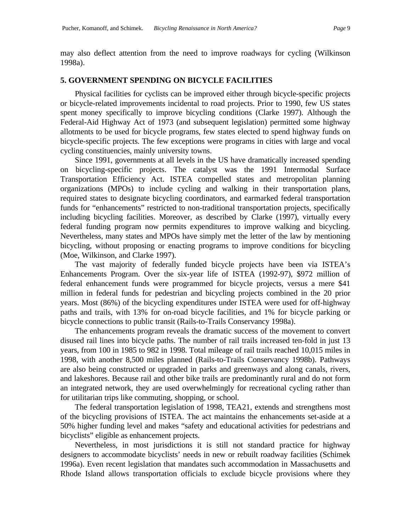may also deflect attention from the need to improve roadways for cycling (Wilkinson 1998a).

### **5. GOVERNMENT SPENDING ON BICYCLE FACILITIES**

Physical facilities for cyclists can be improved either through bicycle-specific projects or bicycle-related improvements incidental to road projects. Prior to 1990, few US states spent money specifically to improve bicycling conditions (Clarke 1997). Although the Federal-Aid Highway Act of 1973 (and subsequent legislation) permitted some highway allotments to be used for bicycle programs, few states elected to spend highway funds on bicycle-specific projects. The few exceptions were programs in cities with large and vocal cycling constituencies, mainly university towns.

Since 1991, governments at all levels in the US have dramatically increased spending on bicycling-specific projects. The catalyst was the 1991 Intermodal Surface Transportation Efficiency Act. ISTEA compelled states and metropolitan planning organizations (MPOs) to include cycling and walking in their transportation plans, required states to designate bicycling coordinators, and earmarked federal transportation funds for "enhancements" restricted to non-traditional transportation projects, specifically including bicycling facilities. Moreover, as described by Clarke (1997), virtually every federal funding program now permits expenditures to improve walking and bicycling. Nevertheless, many states and MPOs have simply met the letter of the law by mentioning bicycling, without proposing or enacting programs to improve conditions for bicycling (Moe, Wilkinson, and Clarke 1997).

The vast majority of federally funded bicycle projects have been via ISTEA's Enhancements Program. Over the six-year life of ISTEA (1992-97), \$972 million of federal enhancement funds were programmed for bicycle projects, versus a mere \$41 million in federal funds for pedestrian and bicycling projects combined in the 20 prior years. Most (86%) of the bicycling expenditures under ISTEA were used for off-highway paths and trails, with 13% for on-road bicycle facilities, and 1% for bicycle parking or bicycle connections to public transit (Rails-to-Trails Conservancy 1998a).

The enhancements program reveals the dramatic success of the movement to convert disused rail lines into bicycle paths. The number of rail trails increased ten-fold in just 13 years, from 100 in 1985 to 982 in 1998. Total mileage of rail trails reached 10,015 miles in 1998, with another 8,500 miles planned (Rails-to-Trails Conservancy 1998b). Pathways are also being constructed or upgraded in parks and greenways and along canals, rivers, and lakeshores. Because rail and other bike trails are predominantly rural and do not form an integrated network, they are used overwhelmingly for recreational cycling rather than for utilitarian trips like commuting, shopping, or school.

The federal transportation legislation of 1998, TEA21, extends and strengthens most of the bicycling provisions of ISTEA. The act maintains the enhancements set-aside at a 50% higher funding level and makes "safety and educational activities for pedestrians and bicyclists" eligible as enhancement projects.

Nevertheless, in most jurisdictions it is still not standard practice for highway designers to accommodate bicyclists' needs in new or rebuilt roadway facilities (Schimek 1996a). Even recent legislation that mandates such accommodation in Massachusetts and Rhode Island allows transportation officials to exclude bicycle provisions where they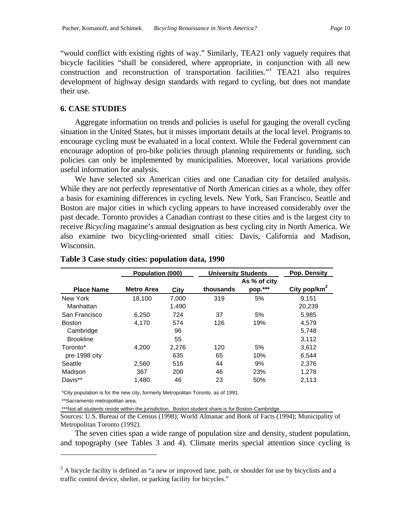"would conflict with existing rights of way." Similarly, TEA21 only vaguely requires that bicycle facilities "shall be considered, where appropriate, in conjunction with all new construction and reconstruction of transportation facilities."<sup>3</sup> TEA21 also requires development of highway design standards with regard to cycling, but does not mandate their use.

# **6. CASE STUDIES**

Aggregate information on trends and policies is useful for gauging the overall cycling situation in the United States, but it misses important details at the local level. Programs to encourage cycling must be evaluated in a local context. While the Federal government can encourage adoption of pro-bike policies through planning requirements or funding, such policies can only be implemented by municipalities. Moreover, local variations provide useful information for analysis.

We have selected six American cities and one Canadian city for detailed analysis. While they are not perfectly representative of North American cities as a whole, they offer a basis for examining differences in cycling levels. New York, San Francisco, Seattle and Boston are major cities in which cycling appears to have increased considerably over the past decade. Toronto provides a Canadian contrast to these cities and is the largest city to receive *Bicycling* magazine's annual designation as best cycling city in North America. We also examine two bicycling-oriented small cities: Davis, California and Madison, Wisconsin.

|                   | Population (000)  |       |           | <b>University Students</b> |                  |
|-------------------|-------------------|-------|-----------|----------------------------|------------------|
|                   |                   |       |           | As % of city               |                  |
| <b>Place Name</b> | <b>Metro Area</b> | City  | thousands | pop.***                    | City pop/ $km^2$ |
| New York          | 18,100            | 7,000 | 319       | 5%                         | 9.151            |
| Manhattan         |                   | 1,490 |           |                            | 20,239           |
| San Francisco     | 6,250             | 724   | 37        | 5%                         | 5,985            |
| <b>Boston</b>     | 4.170             | 574   | 126       | 19%                        | 4,579            |
| Cambridge         |                   | 96    |           |                            | 5,748            |
| <b>Brookline</b>  |                   | 55    |           |                            | 3.112            |
| Toronto*          | 4.200             | 2,276 | 120       | 5%                         | 3,612            |
| pre-1998 city     |                   | 635   | 65        | 10%                        | 6,544            |
| Seattle           | 2,560             | 516   | 44        | 9%                         | 2,376            |
| Madison           | 367               | 200   | 46        | 23%                        | 1.278            |
| Davis**           | 1,480             | 46    | 23        | 50%                        | 2,113            |

### **Table 3 Case study cities: population data, 1990**

\*City population is for the new city, formerly Metropolitan Toronto, as of 1991.

\*\*Sacramento metropolitan area.

-

\*\*\*Not all students reside within the jurisdiction. Boston student share is for Boston-Cambridge.

Sources: U.S. Bureau of the Census (1998); World Almanac and Book of Facts (1994); Municipality of Metropolitan Toronto (1992).

The seven cities span a wide range of population size and density, student population, and topography (see Tables 3 and 4). Climate merits special attention since cycling is

 $3$  A bicycle facility is defined as "a new or improved lane, path, or shoulder for use by bicyclists and a traffic control device, shelter, or parking facility for bicycles."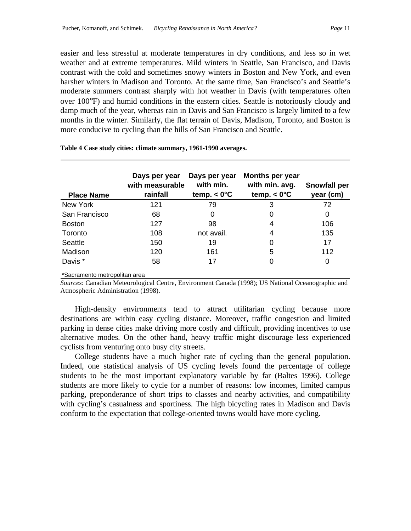easier and less stressful at moderate temperatures in dry conditions, and less so in wet weather and at extreme temperatures. Mild winters in Seattle, San Francisco, and Davis contrast with the cold and sometimes snowy winters in Boston and New York, and even harsher winters in Madison and Toronto. At the same time, San Francisco's and Seattle's moderate summers contrast sharply with hot weather in Davis (with temperatures often over 100°F) and humid conditions in the eastern cities. Seattle is notoriously cloudy and damp much of the year, whereas rain in Davis and San Francisco is largely limited to a few months in the winter. Similarly, the flat terrain of Davis, Madison, Toronto, and Boston is more conducive to cycling than the hills of San Francisco and Seattle.

| <b>Place Name</b> | Days per year<br>with measurable<br>rainfall | Days per year<br>with min.<br>temp. $< 0^{\circ}$ C | Months per year<br>with min. avg.<br>temp. $< 0^{\circ}C$ | <b>Snowfall per</b><br>year (cm) |
|-------------------|----------------------------------------------|-----------------------------------------------------|-----------------------------------------------------------|----------------------------------|
| New York          | 121                                          | 79                                                  | 3                                                         | 72                               |
| San Francisco     | 68                                           | O                                                   | 0                                                         | 0                                |
| <b>Boston</b>     | 127                                          | 98                                                  | 4                                                         | 106                              |
| Toronto           | 108                                          | not avail.                                          | 4                                                         | 135                              |
| Seattle           | 150                                          | 19                                                  | 0                                                         | 17                               |
| Madison           | 120                                          | 161                                                 | 5                                                         | 112                              |
| Davis *           | 58                                           | 17                                                  |                                                           | 0                                |

#### **Table 4 Case study cities: climate summary, 1961-1990 averages.**

\*Sacramento metropolitan area

*Sources*: Canadian Meteorological Centre, Environment Canada (1998); US National Oceanographic and Atmospheric Administration (1998).

High-density environments tend to attract utilitarian cycling because more destinations are within easy cycling distance. Moreover, traffic congestion and limited parking in dense cities make driving more costly and difficult, providing incentives to use alternative modes. On the other hand, heavy traffic might discourage less experienced cyclists from venturing onto busy city streets.

College students have a much higher rate of cycling than the general population. Indeed, one statistical analysis of US cycling levels found the percentage of college students to be the most important explanatory variable by far (Baltes 1996). College students are more likely to cycle for a number of reasons: low incomes, limited campus parking, preponderance of short trips to classes and nearby activities, and compatibility with cycling's casualness and sportiness. The high bicycling rates in Madison and Davis conform to the expectation that college-oriented towns would have more cycling.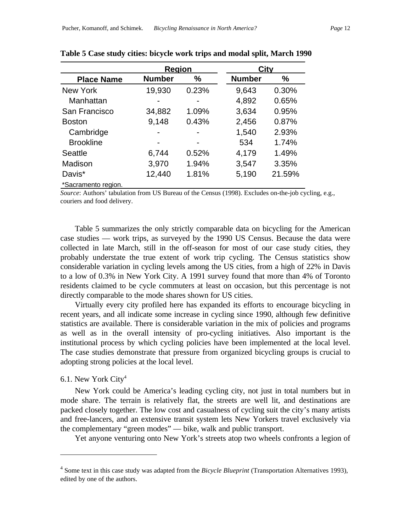|                     | <b>Region</b>  |                          | City          |        |
|---------------------|----------------|--------------------------|---------------|--------|
| <b>Place Name</b>   | <b>Number</b>  | $\%$                     | <b>Number</b> | %      |
| New York            | 19,930         | 0.23%                    | 9,643         | 0.30%  |
| Manhattan           |                | $\overline{\phantom{0}}$ | 4,892         | 0.65%  |
| San Francisco       | 34,882         | 1.09%                    | 3,634         | 0.95%  |
| <b>Boston</b>       | 9,148          | 0.43%                    | 2,456         | 0.87%  |
| Cambridge           |                |                          | 1,540         | 2.93%  |
| <b>Brookline</b>    | $\blacksquare$ | $\blacksquare$           | 534           | 1.74%  |
| Seattle             | 6,744          | 0.52%                    | 4,179         | 1.49%  |
| Madison             | 3,970          | 1.94%                    | 3,547         | 3.35%  |
| Davis*              | 12,440         | 1.81%                    | 5,190         | 21.59% |
| *Sacramento region. |                |                          |               |        |

**Table 5 Case study cities: bicycle work trips and modal split, March 1990**

*Source*: Authors' tabulation from US Bureau of the Census (1998). Excludes on-the-job cycling, e.g., couriers and food delivery.

Table 5 summarizes the only strictly comparable data on bicycling for the American case studies — work trips, as surveyed by the 1990 US Census. Because the data were collected in late March, still in the off-season for most of our case study cities, they probably understate the true extent of work trip cycling. The Census statistics show considerable variation in cycling levels among the US cities, from a high of 22% in Davis to a low of 0.3% in New York City. A 1991 survey found that more than 4% of Toronto residents claimed to be cycle commuters at least on occasion, but this percentage is not directly comparable to the mode shares shown for US cities.

Virtually every city profiled here has expanded its efforts to encourage bicycling in recent years, and all indicate some increase in cycling since 1990, although few definitive statistics are available. There is considerable variation in the mix of policies and programs as well as in the overall intensity of pro-cycling initiatives. Also important is the institutional process by which cycling policies have been implemented at the local level. The case studies demonstrate that pressure from organized bicycling groups is crucial to adopting strong policies at the local level.

# 6.1. New York City<sup>4</sup>

-

New York could be America's leading cycling city, not just in total numbers but in mode share. The terrain is relatively flat, the streets are well lit, and destinations are packed closely together. The low cost and casualness of cycling suit the city's many artists and free-lancers, and an extensive transit system lets New Yorkers travel exclusively via the complementary "green modes" — bike, walk and public transport.

Yet anyone venturing onto New York's streets atop two wheels confronts a legion of

<sup>4</sup> Some text in this case study was adapted from the *Bicycle Blueprint* (Transportation Alternatives 1993), edited by one of the authors.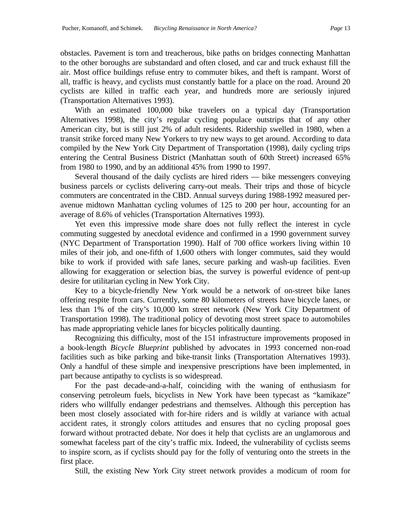obstacles. Pavement is torn and treacherous, bike paths on bridges connecting Manhattan to the other boroughs are substandard and often closed, and car and truck exhaust fill the air. Most office buildings refuse entry to commuter bikes, and theft is rampant. Worst of all, traffic is heavy, and cyclists must constantly battle for a place on the road. Around 20 cyclists are killed in traffic each year, and hundreds more are seriously injured (Transportation Alternatives 1993).

With an estimated 100,000 bike travelers on a typical day (Transportation Alternatives 1998), the city's regular cycling populace outstrips that of any other American city, but is still just 2% of adult residents. Ridership swelled in 1980, when a transit strike forced many New Yorkers to try new ways to get around. According to data compiled by the New York City Department of Transportation (1998), daily cycling trips entering the Central Business District (Manhattan south of 60th Street) increased 65% from 1980 to 1990, and by an additional 45% from 1990 to 1997.

Several thousand of the daily cyclists are hired riders — bike messengers conveying business parcels or cyclists delivering carry-out meals. Their trips and those of bicycle commuters are concentrated in the CBD. Annual surveys during 1988-1992 measured peravenue midtown Manhattan cycling volumes of 125 to 200 per hour, accounting for an average of 8.6% of vehicles (Transportation Alternatives 1993).

Yet even this impressive mode share does not fully reflect the interest in cycle commuting suggested by anecdotal evidence and confirmed in a 1990 government survey (NYC Department of Transportation 1990). Half of 700 office workers living within 10 miles of their job, and one-fifth of 1,600 others with longer commutes, said they would bike to work if provided with safe lanes, secure parking and wash-up facilities. Even allowing for exaggeration or selection bias, the survey is powerful evidence of pent-up desire for utilitarian cycling in New York City.

Key to a bicycle-friendly New York would be a network of on-street bike lanes offering respite from cars. Currently, some 80 kilometers of streets have bicycle lanes, or less than 1% of the city's 10,000 km street network (New York City Department of Transportation 1998). The traditional policy of devoting most street space to automobiles has made appropriating vehicle lanes for bicycles politically daunting.

Recognizing this difficulty, most of the 151 infrastructure improvements proposed in a book-length *Bicycle Blueprint* published by advocates in 1993 concerned non-road facilities such as bike parking and bike-transit links (Transportation Alternatives 1993). Only a handful of these simple and inexpensive prescriptions have been implemented, in part because antipathy to cyclists is so widespread.

For the past decade-and-a-half, coinciding with the waning of enthusiasm for conserving petroleum fuels, bicyclists in New York have been typecast as "kamikaze" riders who willfully endanger pedestrians and themselves. Although this perception has been most closely associated with for-hire riders and is wildly at variance with actual accident rates, it strongly colors attitudes and ensures that no cycling proposal goes forward without protracted debate. Nor does it help that cyclists are an unglamorous and somewhat faceless part of the city's traffic mix. Indeed, the vulnerability of cyclists seems to inspire scorn, as if cyclists should pay for the folly of venturing onto the streets in the first place.

Still, the existing New York City street network provides a modicum of room for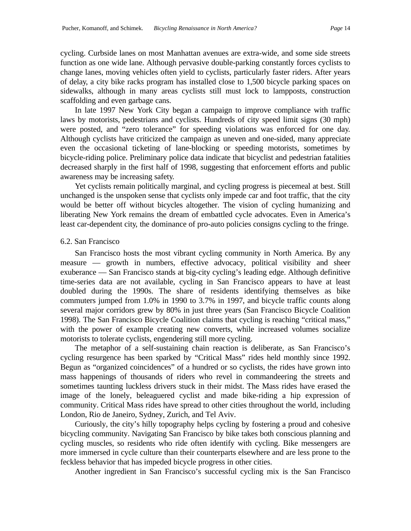cycling. Curbside lanes on most Manhattan avenues are extra-wide, and some side streets function as one wide lane. Although pervasive double-parking constantly forces cyclists to change lanes, moving vehicles often yield to cyclists, particularly faster riders. After years of delay, a city bike racks program has installed close to 1,500 bicycle parking spaces on sidewalks, although in many areas cyclists still must lock to lampposts, construction scaffolding and even garbage cans.

In late 1997 New York City began a campaign to improve compliance with traffic laws by motorists, pedestrians and cyclists. Hundreds of city speed limit signs (30 mph) were posted, and "zero tolerance" for speeding violations was enforced for one day. Although cyclists have criticized the campaign as uneven and one-sided, many appreciate even the occasional ticketing of lane-blocking or speeding motorists, sometimes by bicycle-riding police. Preliminary police data indicate that bicyclist and pedestrian fatalities decreased sharply in the first half of 1998, suggesting that enforcement efforts and public awareness may be increasing safety.

Yet cyclists remain politically marginal, and cycling progress is piecemeal at best. Still unchanged is the unspoken sense that cyclists only impede car and foot traffic, that the city would be better off without bicycles altogether. The vision of cycling humanizing and liberating New York remains the dream of embattled cycle advocates. Even in America's least car-dependent city, the dominance of pro-auto policies consigns cycling to the fringe.

### 6.2. San Francisco

San Francisco hosts the most vibrant cycling community in North America. By any measure — growth in numbers, effective advocacy, political visibility and sheer exuberance — San Francisco stands at big-city cycling's leading edge. Although definitive time-series data are not available, cycling in San Francisco appears to have at least doubled during the 1990s. The share of residents identifying themselves as bike commuters jumped from 1.0% in 1990 to 3.7% in 1997, and bicycle traffic counts along several major corridors grew by 80% in just three years (San Francisco Bicycle Coalition 1998). The San Francisco Bicycle Coalition claims that cycling is reaching "critical mass," with the power of example creating new converts, while increased volumes socialize motorists to tolerate cyclists, engendering still more cycling.

The metaphor of a self-sustaining chain reaction is deliberate, as San Francisco's cycling resurgence has been sparked by "Critical Mass" rides held monthly since 1992. Begun as "organized coincidences" of a hundred or so cyclists, the rides have grown into mass happenings of thousands of riders who revel in commandeering the streets and sometimes taunting luckless drivers stuck in their midst. The Mass rides have erased the image of the lonely, beleaguered cyclist and made bike-riding a hip expression of community. Critical Mass rides have spread to other cities throughout the world, including London, Rio de Janeiro, Sydney, Zurich, and Tel Aviv.

Curiously, the city's hilly topography helps cycling by fostering a proud and cohesive bicycling community. Navigating San Francisco by bike takes both conscious planning and cycling muscles, so residents who ride often identify with cycling. Bike messengers are more immersed in cycle culture than their counterparts elsewhere and are less prone to the feckless behavior that has impeded bicycle progress in other cities.

Another ingredient in San Francisco's successful cycling mix is the San Francisco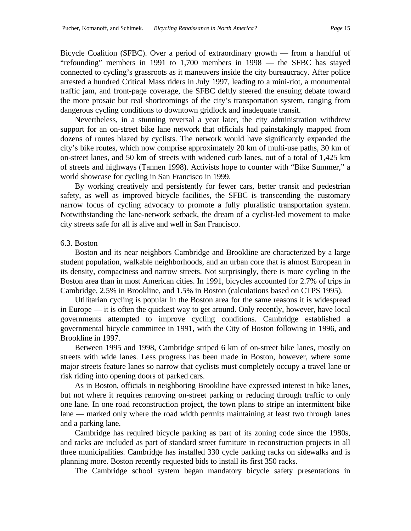Bicycle Coalition (SFBC). Over a period of extraordinary growth — from a handful of "refounding" members in 1991 to 1,700 members in 1998 — the SFBC has stayed connected to cycling's grassroots as it maneuvers inside the city bureaucracy. After police arrested a hundred Critical Mass riders in July 1997, leading to a mini-riot, a monumental traffic jam, and front-page coverage, the SFBC deftly steered the ensuing debate toward the more prosaic but real shortcomings of the city's transportation system, ranging from dangerous cycling conditions to downtown gridlock and inadequate transit.

Nevertheless, in a stunning reversal a year later, the city administration withdrew support for an on-street bike lane network that officials had painstakingly mapped from dozens of routes blazed by cyclists. The network would have significantly expanded the city's bike routes, which now comprise approximately 20 km of multi-use paths, 30 km of on-street lanes, and 50 km of streets with widened curb lanes, out of a total of 1,425 km of streets and highways (Tannen 1998). Activists hope to counter with "Bike Summer," a world showcase for cycling in San Francisco in 1999.

By working creatively and persistently for fewer cars, better transit and pedestrian safety, as well as improved bicycle facilities, the SFBC is transcending the customary narrow focus of cycling advocacy to promote a fully pluralistic transportation system. Notwithstanding the lane-network setback, the dream of a cyclist-led movement to make city streets safe for all is alive and well in San Francisco.

# 6.3. Boston

Boston and its near neighbors Cambridge and Brookline are characterized by a large student population, walkable neighborhoods, and an urban core that is almost European in its density, compactness and narrow streets. Not surprisingly, there is more cycling in the Boston area than in most American cities. In 1991, bicycles accounted for 2.7% of trips in Cambridge, 2.5% in Brookline, and 1.5% in Boston (calculations based on CTPS 1995).

Utilitarian cycling is popular in the Boston area for the same reasons it is widespread in Europe — it is often the quickest way to get around. Only recently, however, have local governments attempted to improve cycling conditions. Cambridge established a governmental bicycle committee in 1991, with the City of Boston following in 1996, and Brookline in 1997.

Between 1995 and 1998, Cambridge striped 6 km of on-street bike lanes, mostly on streets with wide lanes. Less progress has been made in Boston, however, where some major streets feature lanes so narrow that cyclists must completely occupy a travel lane or risk riding into opening doors of parked cars.

As in Boston, officials in neighboring Brookline have expressed interest in bike lanes, but not where it requires removing on-street parking or reducing through traffic to only one lane. In one road reconstruction project, the town plans to stripe an intermittent bike lane — marked only where the road width permits maintaining at least two through lanes and a parking lane.

Cambridge has required bicycle parking as part of its zoning code since the 1980s, and racks are included as part of standard street furniture in reconstruction projects in all three municipalities. Cambridge has installed 330 cycle parking racks on sidewalks and is planning more. Boston recently requested bids to install its first 350 racks.

The Cambridge school system began mandatory bicycle safety presentations in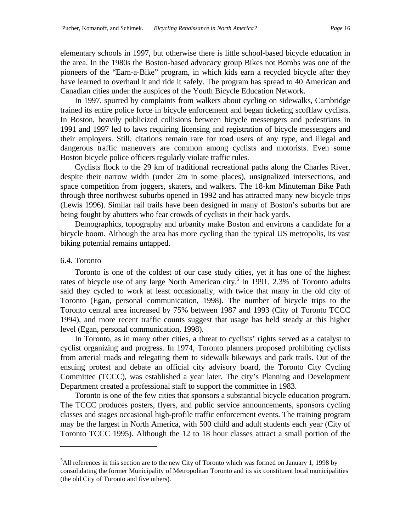elementary schools in 1997, but otherwise there is little school-based bicycle education in the area. In the 1980s the Boston-based advocacy group Bikes not Bombs was one of the pioneers of the "Earn-a-Bike" program, in which kids earn a recycled bicycle after they have learned to overhaul it and ride it safely. The program has spread to 40 American and Canadian cities under the auspices of the Youth Bicycle Education Network.

In 1997, spurred by complaints from walkers about cycling on sidewalks, Cambridge trained its entire police force in bicycle enforcement and began ticketing scofflaw cyclists. In Boston, heavily publicized collisions between bicycle messengers and pedestrians in 1991 and 1997 led to laws requiring licensing and registration of bicycle messengers and their employers. Still, citations remain rare for road users of any type, and illegal and dangerous traffic maneuvers are common among cyclists and motorists. Even some Boston bicycle police officers regularly violate traffic rules.

Cyclists flock to the 29 km of traditional recreational paths along the Charles River, despite their narrow width (under 2m in some places), unsignalized intersections, and space competition from joggers, skaters, and walkers. The 18-km Minuteman Bike Path through three northwest suburbs opened in 1992 and has attracted many new bicycle trips (Lewis 1996). Similar rail trails have been designed in many of Boston's suburbs but are being fought by abutters who fear crowds of cyclists in their back yards.

Demographics, topography and urbanity make Boston and environs a candidate for a bicycle boom. Although the area has more cycling than the typical US metropolis, its vast biking potential remains untapped.

# 6.4. Toronto

 $\overline{a}$ 

Toronto is one of the coldest of our case study cities, yet it has one of the highest rates of bicycle use of any large North American city.<sup>5</sup> In 1991, 2.3% of Toronto adults said they cycled to work at least occasionally, with twice that many in the old city of Toronto (Egan, personal communication, 1998). The number of bicycle trips to the Toronto central area increased by 75% between 1987 and 1993 (City of Toronto TCCC 1994), and more recent traffic counts suggest that usage has held steady at this higher level (Egan, personal communication, 1998).

In Toronto, as in many other cities, a threat to cyclists' rights served as a catalyst to cyclist organizing and progress. In 1974, Toronto planners proposed prohibiting cyclists from arterial roads and relegating them to sidewalk bikeways and park trails. Out of the ensuing protest and debate an official city advisory board, the Toronto City Cycling Committee (TCCC), was established a year later. The city's Planning and Development Department created a professional staff to support the committee in 1983.

Toronto is one of the few cities that sponsors a substantial bicycle education program. The TCCC produces posters, flyers, and public service announcements, sponsors cycling classes and stages occasional high-profile traffic enforcement events. The training program may be the largest in North America, with 500 child and adult students each year (City of Toronto TCCC 1995). Although the 12 to 18 hour classes attract a small portion of the

 $<sup>5</sup>$ All references in this section are to the new City of Toronto which was formed on January 1, 1998 by</sup> consolidating the former Municipality of Metropolitan Toronto and its six constituent local municipalities (the old City of Toronto and five others).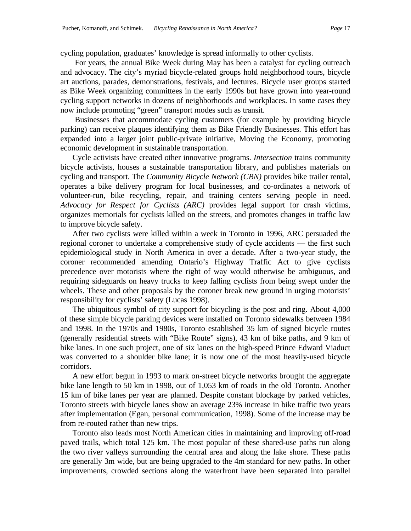cycling population, graduates' knowledge is spread informally to other cyclists.

For years, the annual Bike Week during May has been a catalyst for cycling outreach and advocacy. The city's myriad bicycle-related groups hold neighborhood tours, bicycle art auctions, parades, demonstrations, festivals, and lectures. Bicycle user groups started as Bike Week organizing committees in the early 1990s but have grown into year-round cycling support networks in dozens of neighborhoods and workplaces. In some cases they now include promoting "green" transport modes such as transit.

Businesses that accommodate cycling customers (for example by providing bicycle parking) can receive plaques identifying them as Bike Friendly Businesses. This effort has expanded into a larger joint public-private initiative, Moving the Economy, promoting economic development in sustainable transportation.

Cycle activists have created other innovative programs. *Intersection* trains community bicycle activists, houses a sustainable transportation library, and publishes materials on cycling and transport. The *Community Bicycle Network (CBN)* provides bike trailer rental, operates a bike delivery program for local businesses, and co-ordinates a network of volunteer-run, bike recycling, repair, and training centers serving people in need. *Advocacy for Respect for Cyclists (ARC)* provides legal support for crash victims, organizes memorials for cyclists killed on the streets, and promotes changes in traffic law to improve bicycle safety.

After two cyclists were killed within a week in Toronto in 1996, ARC persuaded the regional coroner to undertake a comprehensive study of cycle accidents — the first such epidemiological study in North America in over a decade. After a two-year study, the coroner recommended amending Ontario's Highway Traffic Act to give cyclists precedence over motorists where the right of way would otherwise be ambiguous, and requiring sideguards on heavy trucks to keep falling cyclists from being swept under the wheels. These and other proposals by the coroner break new ground in urging motorists' responsibility for cyclists' safety (Lucas 1998).

The ubiquitous symbol of city support for bicycling is the post and ring. About 4,000 of these simple bicycle parking devices were installed on Toronto sidewalks between 1984 and 1998. In the 1970s and 1980s, Toronto established 35 km of signed bicycle routes (generally residential streets with "Bike Route" signs), 43 km of bike paths, and 9 km of bike lanes. In one such project, one of six lanes on the high-speed Prince Edward Viaduct was converted to a shoulder bike lane; it is now one of the most heavily-used bicycle corridors.

A new effort begun in 1993 to mark on-street bicycle networks brought the aggregate bike lane length to 50 km in 1998, out of 1,053 km of roads in the old Toronto. Another 15 km of bike lanes per year are planned. Despite constant blockage by parked vehicles, Toronto streets with bicycle lanes show an average 23% increase in bike traffic two years after implementation (Egan, personal communication, 1998). Some of the increase may be from re-routed rather than new trips.

Toronto also leads most North American cities in maintaining and improving off-road paved trails, which total 125 km. The most popular of these shared-use paths run along the two river valleys surrounding the central area and along the lake shore. These paths are generally 3m wide, but are being upgraded to the 4m standard for new paths. In other improvements, crowded sections along the waterfront have been separated into parallel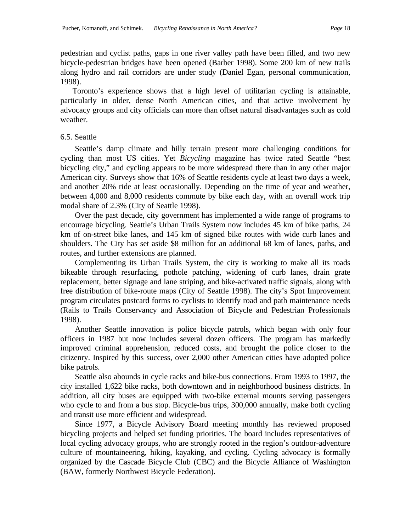pedestrian and cyclist paths, gaps in one river valley path have been filled, and two new bicycle-pedestrian bridges have been opened (Barber 1998). Some 200 km of new trails along hydro and rail corridors are under study (Daniel Egan, personal communication, 1998).

Toronto's experience shows that a high level of utilitarian cycling is attainable, particularly in older, dense North American cities, and that active involvement by advocacy groups and city officials can more than offset natural disadvantages such as cold weather.

# 6.5. Seattle

Seattle's damp climate and hilly terrain present more challenging conditions for cycling than most US cities. Yet *Bicycling* magazine has twice rated Seattle "best bicycling city," and cycling appears to be more widespread there than in any other major American city. Surveys show that 16% of Seattle residents cycle at least two days a week, and another 20% ride at least occasionally. Depending on the time of year and weather, between 4,000 and 8,000 residents commute by bike each day, with an overall work trip modal share of 2.3% (City of Seattle 1998).

Over the past decade, city government has implemented a wide range of programs to encourage bicycling. Seattle's Urban Trails System now includes 45 km of bike paths, 24 km of on-street bike lanes, and 145 km of signed bike routes with wide curb lanes and shoulders. The City has set aside \$8 million for an additional 68 km of lanes, paths, and routes, and further extensions are planned.

Complementing its Urban Trails System, the city is working to make all its roads bikeable through resurfacing, pothole patching, widening of curb lanes, drain grate replacement, better signage and lane striping, and bike-activated traffic signals, along with free distribution of bike-route maps (City of Seattle 1998). The city's Spot Improvement program circulates postcard forms to cyclists to identify road and path maintenance needs (Rails to Trails Conservancy and Association of Bicycle and Pedestrian Professionals 1998).

Another Seattle innovation is police bicycle patrols, which began with only four officers in 1987 but now includes several dozen officers. The program has markedly improved criminal apprehension, reduced costs, and brought the police closer to the citizenry. Inspired by this success, over 2,000 other American cities have adopted police bike patrols.

Seattle also abounds in cycle racks and bike-bus connections. From 1993 to 1997, the city installed 1,622 bike racks, both downtown and in neighborhood business districts. In addition, all city buses are equipped with two-bike external mounts serving passengers who cycle to and from a bus stop. Bicycle-bus trips, 300,000 annually, make both cycling and transit use more efficient and widespread.

Since 1977, a Bicycle Advisory Board meeting monthly has reviewed proposed bicycling projects and helped set funding priorities. The board includes representatives of local cycling advocacy groups, who are strongly rooted in the region's outdoor-adventure culture of mountaineering, hiking, kayaking, and cycling. Cycling advocacy is formally organized by the Cascade Bicycle Club (CBC) and the Bicycle Alliance of Washington (BAW, formerly Northwest Bicycle Federation).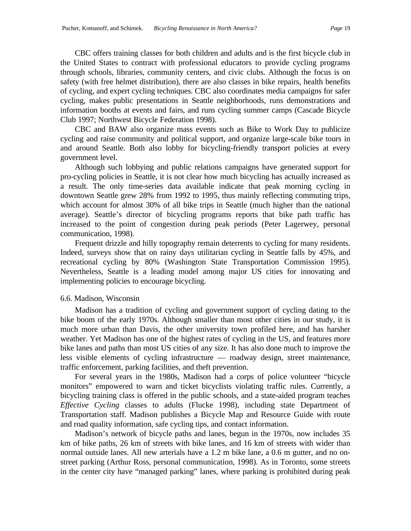CBC offers training classes for both children and adults and is the first bicycle club in the United States to contract with professional educators to provide cycling programs through schools, libraries, community centers, and civic clubs. Although the focus is on safety (with free helmet distribution), there are also classes in bike repairs, health benefits of cycling, and expert cycling techniques. CBC also coordinates media campaigns for safer cycling, makes public presentations in Seattle neighborhoods, runs demonstrations and information booths at events and fairs, and runs cycling summer camps (Cascade Bicycle Club 1997; Northwest Bicycle Federation 1998).

CBC and BAW also organize mass events such as Bike to Work Day to publicize cycling and raise community and political support, and organize large-scale bike tours in and around Seattle. Both also lobby for bicycling-friendly transport policies at every government level.

Although such lobbying and public relations campaigns have generated support for pro-cycling policies in Seattle, it is not clear how much bicycling has actually increased as a result. The only time-series data available indicate that peak morning cycling in downtown Seattle grew 28% from 1992 to 1995, thus mainly reflecting commuting trips, which account for almost 30% of all bike trips in Seattle (much higher than the national average). Seattle's director of bicycling programs reports that bike path traffic has increased to the point of congestion during peak periods (Peter Lagerwey, personal communication, 1998).

Frequent drizzle and hilly topography remain deterrents to cycling for many residents. Indeed, surveys show that on rainy days utilitarian cycling in Seattle falls by 45%, and recreational cycling by 80% (Washington State Transportation Commission 1995). Nevertheless, Seattle is a leading model among major US cities for innovating and implementing policies to encourage bicycling.

#### 6.6. Madison, Wisconsin

Madison has a tradition of cycling and government support of cycling dating to the bike boom of the early 1970s. Although smaller than most other cities in our study, it is much more urban than Davis, the other university town profiled here, and has harsher weather. Yet Madison has one of the highest rates of cycling in the US, and features more bike lanes and paths than most US cities of any size. It has also done much to improve the less visible elements of cycling infrastructure — roadway design, street maintenance, traffic enforcement, parking facilities, and theft prevention.

For several years in the 1980s, Madison had a corps of police volunteer "bicycle monitors" empowered to warn and ticket bicyclists violating traffic rules. Currently, a bicycling training class is offered in the public schools, and a state-aided program teaches *Effective Cycling* classes to adults (Flucke 1998), including state Department of Transportation staff. Madison publishes a Bicycle Map and Resource Guide with route and road quality information, safe cycling tips, and contact information.

Madison's network of bicycle paths and lanes, begun in the 1970s, now includes 35 km of bike paths, 26 km of streets with bike lanes, and 16 km of streets with wider than normal outside lanes. All new arterials have a 1.2 m bike lane, a 0.6 m gutter, and no onstreet parking (Arthur Ross, personal communication, 1998). As in Toronto, some streets in the center city have "managed parking" lanes, where parking is prohibited during peak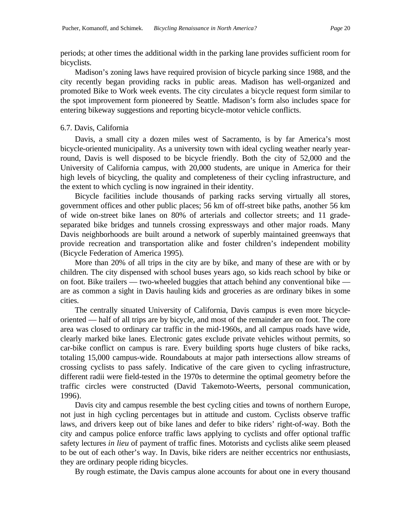periods; at other times the additional width in the parking lane provides sufficient room for bicyclists.

Madison's zoning laws have required provision of bicycle parking since 1988, and the city recently began providing racks in public areas. Madison has well-organized and promoted Bike to Work week events. The city circulates a bicycle request form similar to the spot improvement form pioneered by Seattle. Madison's form also includes space for entering bikeway suggestions and reporting bicycle-motor vehicle conflicts.

# 6.7. Davis, California

Davis, a small city a dozen miles west of Sacramento, is by far America's most bicycle-oriented municipality. As a university town with ideal cycling weather nearly yearround, Davis is well disposed to be bicycle friendly. Both the city of 52,000 and the University of California campus, with 20,000 students, are unique in America for their high levels of bicycling, the quality and completeness of their cycling infrastructure, and the extent to which cycling is now ingrained in their identity.

Bicycle facilities include thousands of parking racks serving virtually all stores, government offices and other public places; 56 km of off-street bike paths, another 56 km of wide on-street bike lanes on 80% of arterials and collector streets; and 11 gradeseparated bike bridges and tunnels crossing expressways and other major roads. Many Davis neighborhoods are built around a network of superbly maintained greenways that provide recreation and transportation alike and foster children's independent mobility (Bicycle Federation of America 1995).

More than 20% of all trips in the city are by bike, and many of these are with or by children. The city dispensed with school buses years ago, so kids reach school by bike or on foot. Bike trailers — two-wheeled buggies that attach behind any conventional bike are as common a sight in Davis hauling kids and groceries as are ordinary bikes in some cities.

The centrally situated University of California, Davis campus is even more bicycleoriented — half of all trips are by bicycle, and most of the remainder are on foot. The core area was closed to ordinary car traffic in the mid-1960s, and all campus roads have wide, clearly marked bike lanes. Electronic gates exclude private vehicles without permits, so car-bike conflict on campus is rare. Every building sports huge clusters of bike racks, totaling 15,000 campus-wide. Roundabouts at major path intersections allow streams of crossing cyclists to pass safely. Indicative of the care given to cycling infrastructure, different radii were field-tested in the 1970s to determine the optimal geometry before the traffic circles were constructed (David Takemoto-Weerts, personal communication, 1996).

Davis city and campus resemble the best cycling cities and towns of northern Europe, not just in high cycling percentages but in attitude and custom. Cyclists observe traffic laws, and drivers keep out of bike lanes and defer to bike riders' right-of-way. Both the city and campus police enforce traffic laws applying to cyclists and offer optional traffic safety lectures *in lieu* of payment of traffic fines. Motorists and cyclists alike seem pleased to be out of each other's way. In Davis, bike riders are neither eccentrics nor enthusiasts, they are ordinary people riding bicycles.

By rough estimate, the Davis campus alone accounts for about one in every thousand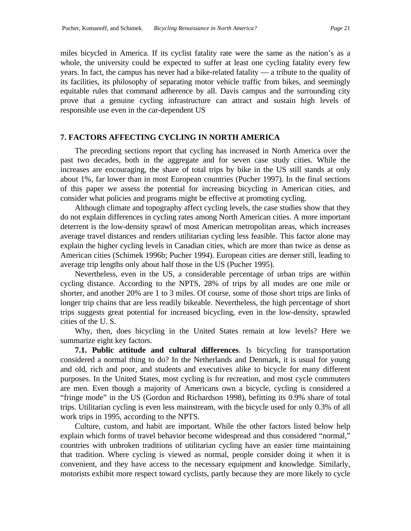miles bicycled in America. If its cyclist fatality rate were the same as the nation's as a whole, the university could be expected to suffer at least one cycling fatality every few years. In fact, the campus has never had a bike-related fatality — a tribute to the quality of its facilities, its philosophy of separating motor vehicle traffic from bikes, and seemingly equitable rules that command adherence by all. Davis campus and the surrounding city prove that a genuine cycling infrastructure can attract and sustain high levels of responsible use even in the car-dependent US

# **7. FACTORS AFFECTING CYCLING IN NORTH AMERICA**

The preceding sections report that cycling has increased in North America over the past two decades, both in the aggregate and for seven case study cities. While the increases are encouraging, the share of total trips by bike in the US still stands at only about 1%, far lower than in most European countries (Pucher 1997). In the final sections of this paper we assess the potential for increasing bicycling in American cities, and consider what policies and programs might be effective at promoting cycling.

Although climate and topography affect cycling levels, the case studies show that they do not explain differences in cycling rates among North American cities. A more important deterrent is the low-density sprawl of most American metropolitan areas, which increases average travel distances and renders utilitarian cycling less feasible. This factor alone may explain the higher cycling levels in Canadian cities, which are more than twice as dense as American cities (Schimek 1996b; Pucher 1994). European cities are denser still, leading to average trip lengths only about half those in the US (Pucher 1995).

Nevertheless, even in the US, a considerable percentage of urban trips are within cycling distance. According to the NPTS, 28% of trips by all modes are one mile or shorter, and another 20% are 1 to 3 miles. Of course, some of those short trips are links of longer trip chains that are less readily bikeable. Nevertheless, the high percentage of short trips suggests great potential for increased bicycling, even in the low-density, sprawled cities of the U. S.

Why, then, does bicycling in the United States remain at low levels? Here we summarize eight key factors.

**7.1. Public attitude and cultural differences**. Is bicycling for transportation considered a normal thing to do? In the Netherlands and Denmark, it is usual for young and old, rich and poor, and students and executives alike to bicycle for many different purposes. In the United States, most cycling is for recreation, and most cycle commuters are men. Even though a majority of Americans own a bicycle, cycling is considered a "fringe mode" in the US (Gordon and Richardson 1998), befitting its 0.9% share of total trips. Utilitarian cycling is even less mainstream, with the bicycle used for only 0.3% of all work trips in 1995, according to the NPTS.

Culture, custom, and habit are important. While the other factors listed below help explain which forms of travel behavior become widespread and thus considered "normal," countries with unbroken traditions of utilitarian cycling have an easier time maintaining that tradition. Where cycling is viewed as normal, people consider doing it when it is convenient, and they have access to the necessary equipment and knowledge. Similarly, motorists exhibit more respect toward cyclists, partly because they are more likely to cycle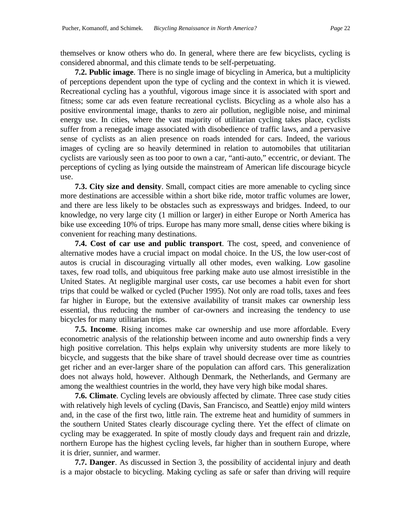themselves or know others who do. In general, where there are few bicyclists, cycling is considered abnormal, and this climate tends to be self-perpetuating.

**7.2. Public image**. There is no single image of bicycling in America, but a multiplicity of perceptions dependent upon the type of cycling and the context in which it is viewed. Recreational cycling has a youthful, vigorous image since it is associated with sport and fitness; some car ads even feature recreational cyclists. Bicycling as a whole also has a positive environmental image, thanks to zero air pollution, negligible noise, and minimal energy use. In cities, where the vast majority of utilitarian cycling takes place, cyclists suffer from a renegade image associated with disobedience of traffic laws, and a pervasive sense of cyclists as an alien presence on roads intended for cars. Indeed, the various images of cycling are so heavily determined in relation to automobiles that utilitarian cyclists are variously seen as too poor to own a car, "anti-auto," eccentric, or deviant. The perceptions of cycling as lying outside the mainstream of American life discourage bicycle use.

**7.3. City size and density**. Small, compact cities are more amenable to cycling since more destinations are accessible within a short bike ride, motor traffic volumes are lower, and there are less likely to be obstacles such as expressways and bridges. Indeed, to our knowledge, no very large city (1 million or larger) in either Europe or North America has bike use exceeding 10% of trips. Europe has many more small, dense cities where biking is convenient for reaching many destinations.

**7.4. Cost of car use and public transport**. The cost, speed, and convenience of alternative modes have a crucial impact on modal choice. In the US, the low user-cost of autos is crucial in discouraging virtually all other modes, even walking. Low gasoline taxes, few road tolls, and ubiquitous free parking make auto use almost irresistible in the United States. At negligible marginal user costs, car use becomes a habit even for short trips that could be walked or cycled (Pucher 1995). Not only are road tolls, taxes and fees far higher in Europe, but the extensive availability of transit makes car ownership less essential, thus reducing the number of car-owners and increasing the tendency to use bicycles for many utilitarian trips.

**7.5. Income**. Rising incomes make car ownership and use more affordable. Every econometric analysis of the relationship between income and auto ownership finds a very high positive correlation. This helps explain why university students are more likely to bicycle, and suggests that the bike share of travel should decrease over time as countries get richer and an ever-larger share of the population can afford cars. This generalization does not always hold, however. Although Denmark, the Netherlands, and Germany are among the wealthiest countries in the world, they have very high bike modal shares.

**7.6. Climate**. Cycling levels are obviously affected by climate. Three case study cities with relatively high levels of cycling (Davis, San Francisco, and Seattle) enjoy mild winters and, in the case of the first two, little rain. The extreme heat and humidity of summers in the southern United States clearly discourage cycling there. Yet the effect of climate on cycling may be exaggerated. In spite of mostly cloudy days and frequent rain and drizzle, northern Europe has the highest cycling levels, far higher than in southern Europe, where it is drier, sunnier, and warmer.

**7.7. Danger**. As discussed in Section 3, the possibility of accidental injury and death is a major obstacle to bicycling. Making cycling as safe or safer than driving will require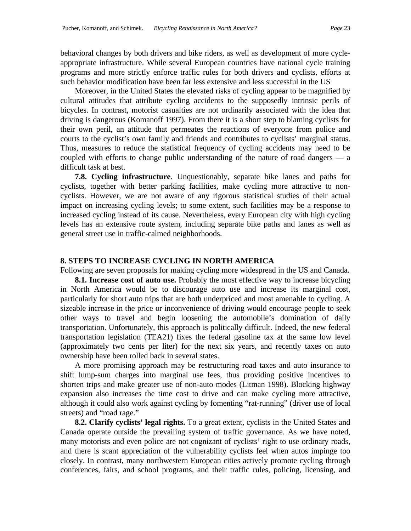behavioral changes by both drivers and bike riders, as well as development of more cycleappropriate infrastructure. While several European countries have national cycle training programs and more strictly enforce traffic rules for both drivers and cyclists, efforts at such behavior modification have been far less extensive and less successful in the US

Moreover, in the United States the elevated risks of cycling appear to be magnified by cultural attitudes that attribute cycling accidents to the supposedly intrinsic perils of bicycles. In contrast, motorist casualties are not ordinarily associated with the idea that driving is dangerous (Komanoff 1997). From there it is a short step to blaming cyclists for their own peril, an attitude that permeates the reactions of everyone from police and courts to the cyclist's own family and friends and contributes to cyclists' marginal status. Thus, measures to reduce the statistical frequency of cycling accidents may need to be coupled with efforts to change public understanding of the nature of road dangers — a difficult task at best.

**7.8. Cycling infrastructure**. Unquestionably, separate bike lanes and paths for cyclists, together with better parking facilities, make cycling more attractive to noncyclists. However, we are not aware of any rigorous statistical studies of their actual impact on increasing cycling levels; to some extent, such facilities may be a response to increased cycling instead of its cause. Nevertheless, every European city with high cycling levels has an extensive route system, including separate bike paths and lanes as well as general street use in traffic-calmed neighborhoods.

# **8. STEPS TO INCREASE CYCLING IN NORTH AMERICA**

Following are seven proposals for making cycling more widespread in the US and Canada.

**8.1. Increase cost of auto use.** Probably the most effective way to increase bicycling in North America would be to discourage auto use and increase its marginal cost, particularly for short auto trips that are both underpriced and most amenable to cycling. A sizeable increase in the price or inconvenience of driving would encourage people to seek other ways to travel and begin loosening the automobile's domination of daily transportation. Unfortunately, this approach is politically difficult. Indeed, the new federal transportation legislation (TEA21) fixes the federal gasoline tax at the same low level (approximately two cents per liter) for the next six years, and recently taxes on auto ownership have been rolled back in several states.

A more promising approach may be restructuring road taxes and auto insurance to shift lump-sum charges into marginal use fees, thus providing positive incentives to shorten trips and make greater use of non-auto modes (Litman 1998). Blocking highway expansion also increases the time cost to drive and can make cycling more attractive, although it could also work against cycling by fomenting "rat-running" (driver use of local streets) and "road rage."

**8.2. Clarify cyclists' legal rights.** To a great extent, cyclists in the United States and Canada operate outside the prevailing system of traffic governance. As we have noted, many motorists and even police are not cognizant of cyclists' right to use ordinary roads, and there is scant appreciation of the vulnerability cyclists feel when autos impinge too closely. In contrast, many northwestern European cities actively promote cycling through conferences, fairs, and school programs, and their traffic rules, policing, licensing, and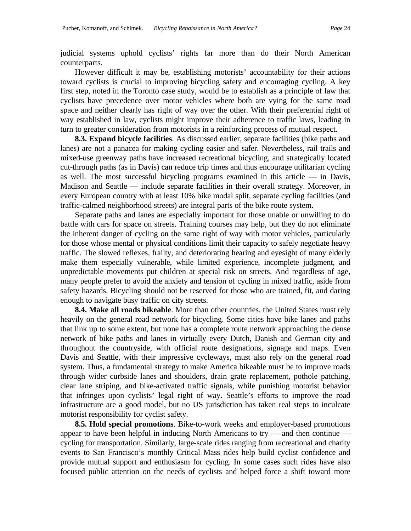judicial systems uphold cyclists' rights far more than do their North American counterparts.

However difficult it may be, establishing motorists' accountability for their actions toward cyclists is crucial to improving bicycling safety and encouraging cycling. A key first step, noted in the Toronto case study, would be to establish as a principle of law that cyclists have precedence over motor vehicles where both are vying for the same road space and neither clearly has right of way over the other. With their preferential right of way established in law, cyclists might improve their adherence to traffic laws, leading in turn to greater consideration from motorists in a reinforcing process of mutual respect.

**8.3. Expand bicycle facilities**. As discussed earlier, separate facilities (bike paths and lanes) are not a panacea for making cycling easier and safer. Nevertheless, rail trails and mixed-use greenway paths have increased recreational bicycling, and strategically located cut-through paths (as in Davis) can reduce trip times and thus encourage utilitarian cycling as well. The most successful bicycling programs examined in this article — in Davis, Madison and Seattle — include separate facilities in their overall strategy. Moreover, in every European country with at least 10% bike modal split, separate cycling facilities (and traffic-calmed neighborhood streets) are integral parts of the bike route system.

Separate paths and lanes are especially important for those unable or unwilling to do battle with cars for space on streets. Training courses may help, but they do not eliminate the inherent danger of cycling on the same right of way with motor vehicles, particularly for those whose mental or physical conditions limit their capacity to safely negotiate heavy traffic. The slowed reflexes, frailty, and deteriorating hearing and eyesight of many elderly make them especially vulnerable, while limited experience, incomplete judgment, and unpredictable movements put children at special risk on streets. And regardless of age, many people prefer to avoid the anxiety and tension of cycling in mixed traffic, aside from safety hazards. Bicycling should not be reserved for those who are trained, fit, and daring enough to navigate busy traffic on city streets.

**8.4. Make all roads bikeable**. More than other countries, the United States must rely heavily on the general road network for bicycling. Some cities have bike lanes and paths that link up to some extent, but none has a complete route network approaching the dense network of bike paths and lanes in virtually every Dutch, Danish and German city and throughout the countryside, with official route designations, signage and maps. Even Davis and Seattle, with their impressive cycleways, must also rely on the general road system. Thus, a fundamental strategy to make America bikeable must be to improve roads through wider curbside lanes and shoulders, drain grate replacement, pothole patching, clear lane striping, and bike-activated traffic signals, while punishing motorist behavior that infringes upon cyclists' legal right of way. Seattle's efforts to improve the road infrastructure are a good model, but no US jurisdiction has taken real steps to inculcate motorist responsibility for cyclist safety.

**8.5. Hold special promotions**. Bike-to-work weeks and employer-based promotions appear to have been helpful in inducing North Americans to try — and then continue cycling for transportation. Similarly, large-scale rides ranging from recreational and charity events to San Francisco's monthly Critical Mass rides help build cyclist confidence and provide mutual support and enthusiasm for cycling. In some cases such rides have also focused public attention on the needs of cyclists and helped force a shift toward more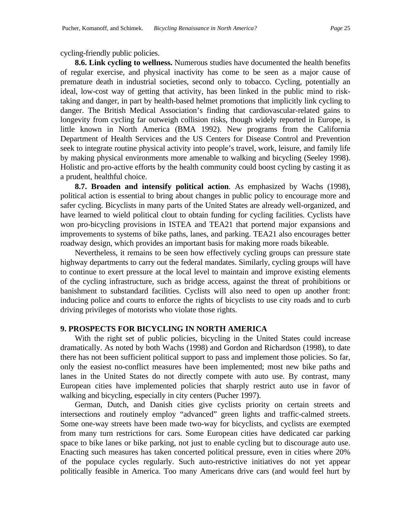cycling-friendly public policies.

**8.6. Link cycling to wellness.** Numerous studies have documented the health benefits of regular exercise, and physical inactivity has come to be seen as a major cause of premature death in industrial societies, second only to tobacco. Cycling, potentially an ideal, low-cost way of getting that activity, has been linked in the public mind to risktaking and danger, in part by health-based helmet promotions that implicitly link cycling to danger. The British Medical Association's finding that cardiovascular-related gains to longevity from cycling far outweigh collision risks, though widely reported in Europe, is little known in North America (BMA 1992). New programs from the California Department of Health Services and the US Centers for Disease Control and Prevention seek to integrate routine physical activity into people's travel, work, leisure, and family life by making physical environments more amenable to walking and bicycling (Seeley 1998). Holistic and pro-active efforts by the health community could boost cycling by casting it as a prudent, healthful choice.

**8.7. Broaden and intensify political action**. As emphasized by Wachs (1998), political action is essential to bring about changes in public policy to encourage more and safer cycling. Bicyclists in many parts of the United States are already well-organized, and have learned to wield political clout to obtain funding for cycling facilities. Cyclists have won pro-bicycling provisions in ISTEA and TEA21 that portend major expansions and improvements to systems of bike paths, lanes, and parking. TEA21 also encourages better roadway design, which provides an important basis for making more roads bikeable.

Nevertheless, it remains to be seen how effectively cycling groups can pressure state highway departments to carry out the federal mandates. Similarly, cycling groups will have to continue to exert pressure at the local level to maintain and improve existing elements of the cycling infrastructure, such as bridge access, against the threat of prohibitions or banishment to substandard facilities. Cyclists will also need to open up another front: inducing police and courts to enforce the rights of bicyclists to use city roads and to curb driving privileges of motorists who violate those rights.

# **9. PROSPECTS FOR BICYCLING IN NORTH AMERICA**

With the right set of public policies, bicycling in the United States could increase dramatically. As noted by both Wachs (1998) and Gordon and Richardson (1998), to date there has not been sufficient political support to pass and implement those policies. So far, only the easiest no-conflict measures have been implemented; most new bike paths and lanes in the United States do not directly compete with auto use. By contrast, many European cities have implemented policies that sharply restrict auto use in favor of walking and bicycling, especially in city centers (Pucher 1997).

German, Dutch, and Danish cities give cyclists priority on certain streets and intersections and routinely employ "advanced" green lights and traffic-calmed streets. Some one-way streets have been made two-way for bicyclists, and cyclists are exempted from many turn restrictions for cars. Some European cities have dedicated car parking space to bike lanes or bike parking, not just to enable cycling but to discourage auto use. Enacting such measures has taken concerted political pressure, even in cities where 20% of the populace cycles regularly. Such auto-restrictive initiatives do not yet appear politically feasible in America. Too many Americans drive cars (and would feel hurt by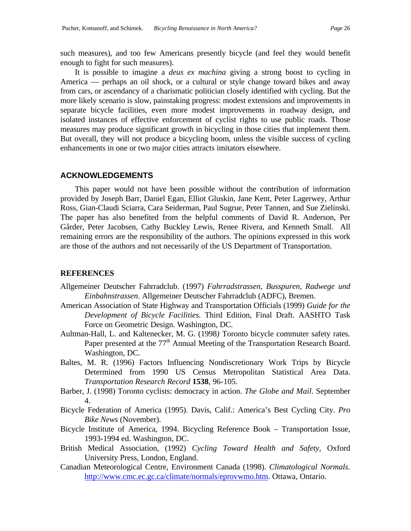such measures), and too few Americans presently bicycle (and feel they would benefit enough to fight for such measures).

It is possible to imagine a *deus ex machina* giving a strong boost to cycling in America — perhaps an oil shock, or a cultural or style change toward bikes and away from cars, or ascendancy of a charismatic politician closely identified with cycling. But the more likely scenario is slow, painstaking progress: modest extensions and improvements in separate bicycle facilities, even more modest improvements in roadway design, and isolated instances of effective enforcement of cyclist rights to use public roads. Those measures may produce significant growth in bicycling in those cities that implement them. But overall, they will not produce a bicycling boom, unless the visible success of cycling enhancements in one or two major cities attracts imitators elsewhere.

### **ACKNOWLEDGEMENTS**

This paper would not have been possible without the contribution of information provided by Joseph Barr, Daniel Egan, Elliot Gluskin, Jane Kent, Peter Lagerwey, Arthur Ross, Gian-Claudi Sciarra, Cara Seiderman, Paul Sugrue, Peter Tannen, and Sue Zielinski. The paper has also benefited from the helpful comments of David R. Anderson, Per Gårder, Peter Jacobsen, Cathy Buckley Lewis, Renee Rivera, and Kenneth Small. All remaining errors are the responsibility of the authors. The opinions expressed in this work are those of the authors and not necessarily of the US Department of Transportation.

### **REFERENCES**

- Allgemeiner Deutscher Fahrradclub. (1997) *Fahrradstrassen, Busspuren, Radwege und Einbahnstrassen*. Allgemeiner Deutscher Fahrradclub (ADFC), Bremen.
- American Association of State Highway and Transportation Officials (1999) *Guide for the Development of Bicycle Facilities.* Third Edition, Final Draft. AASHTO Task Force on Geometric Design. Washington, DC.
- Aultman-Hall, L. and Kaltenecker, M. G. (1998*)* Toronto bicycle commuter safety rates*.* Paper presented at the 77<sup>th</sup> Annual Meeting of the Transportation Research Board. Washington, DC.
- Baltes, M. R. (1996) Factors Influencing Nondiscretionary Work Trips by Bicycle Determined from 1990 US Census Metropolitan Statistical Area Data. *Transportation Research Record* **1538**, 96-105.
- Barber, J. (1998) Toronto cyclists: democracy in action. *The Globe and Mail*. September 4.
- Bicycle Federation of America (1995). Davis, Calif.: America's Best Cycling City. *Pro Bike News* (November).
- Bicycle Institute of America, 1994. Bicycling Reference Book Transportation Issue, 1993-1994 ed. Washington, DC.
- British Medical Association, (1992) *Cycling Toward Health and Safety*, Oxford University Press, London, England.
- Canadian Meteorological Centre, Environment Canada (1998). *Climatological Normals*. http://www.cmc.ec.gc.ca/climate/normals/eprovwmo.htm. Ottawa, Ontario.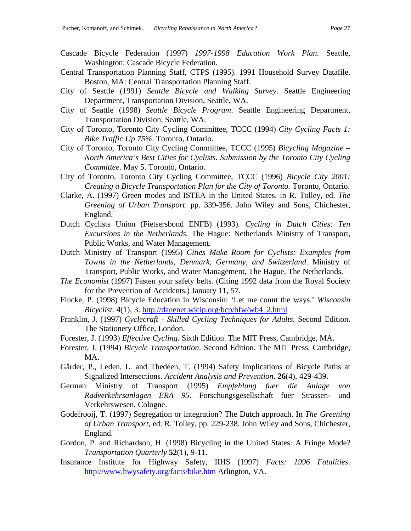- Cascade Bicycle Federation (1997) *1997-1998 Education Work Plan.* Seattle, Washington: Cascade Bicycle Federation.
- Central Transportation Planning Staff, CTPS (1995). 1991 Household Survey Datafile. Boston, MA: Central Transportation Planning Staff.
- City of Seattle (1991) *Seattle Bicycle and Walking Survey*. Seattle Engineering Department, Transportation Division, Seattle, WA.
- City of Seattle (1998) *Seattle Bicycle Program*. Seattle Engineering Department, Transportation Division, Seattle, WA.
- City of Toronto, Toronto City Cycling Committee, TCCC (1994) *City Cycling Facts 1: Bike Traffic Up 75%*. Toronto, Ontario.
- City of Toronto, Toronto City Cycling Committee, TCCC (1995) *Bicycling Magazine – North America's Best Cities for Cyclists. Submission by the Toronto City Cycling Committee*. May 5. Toronto, Ontario.
- City of Toronto, Toronto City Cycling Committee, TCCC (1996) *Bicycle City 2001: Creating a Bicycle Transportation Plan for the City of Toronto.* Toronto, Ontario.
- Clarke, A. (1997) Green modes and ISTEA in the United States. in R. Tolley, ed. *The Greening of Urban Transport*. pp. 339-356. John Wiley and Sons, Chichester, England.
- Dutch Cyclists Union (Fietsersbond ENFB) (1993)*. Cycling in Dutch Cities: Ten Excursions in the Netherlands.* The Hague: Netherlands Ministry of Transport, Public Works, and Water Management.
- Dutch Ministry of Transport (1995) *Cities Make Room for Cyclists: Examples from Towns in the Netherlands, Denmark, Germany, and Switzerland*. Ministry of Transport, Public Works, and Water Management, The Hague, The Netherlands.
- *The Economist* (1997) Fasten your safety belts. (Citing 1992 data from the Royal Society for the Prevention of Accidents.) January 11, 57.
- Flucke, P. (1998) Bicycle Education in Wisconsin: 'Let me count the ways.' *Wisconsin Bicyclist*. **4**(1), 3. http://danenet.wicip.org/bcp/bfw/wb4\_2.html
- Franklin, J. (1997) *Cyclecraft Skilled Cycling Techniques for Adults.* Second Edition. The Stationery Office, London.
- Forester, J. (1993) *Effective Cycling*. Sixth Edition. The MIT Press, Cambridge, MA.
- Forester, J. (1994) *Bicycle Transportation*. Second Edition. The MIT Press, Cambridge, MA.
- Gårder, P., Leden, L. and Thedéen, T. (1994) Safety Implications of Bicycle Paths at Signalized Intersections. *Accident Analysis and Prevention*. **26**(4), 429-439.
- German Ministry of Transport (1995) *Empfehlung fuer die Anlage von Radverkehrsanlagen ERA 95*. Forschungsgesellschaft fuer Strassen- und Verkehrswesen, Cologne.
- Godefrooij, T. (1997) Segregation or integration? The Dutch approach. In *The Greening of Urban Transport*, ed. R. Tolley, pp. 229-238. John Wiley and Sons, Chichester, England.
- Gordon, P. and Richardson, H. (1998) Bicycling in the United States: A Fringe Mode? *Transportation Quarterly* **52**(1), 9-11.
- Insurance Institute for Highway Safety, IIHS (1997) *Facts: 1996 Fatalities*. http://www.hwysafety.org/facts/bike.htm Arlington, VA.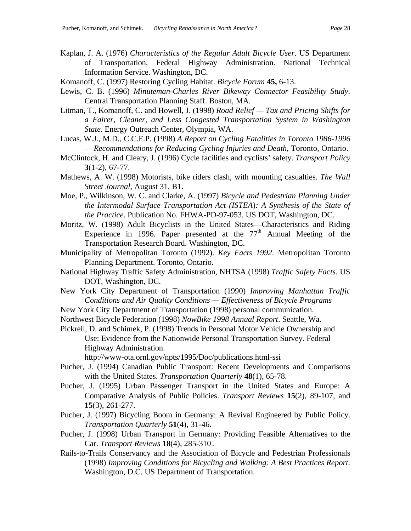- Kaplan, J. A. (1976) *Characteristics of the Regular Adult Bicycle User*. US Department of Transportation, Federal Highway Administration. National Technical Information Service. Washington, DC.
- Komanoff, C. (1997) Restoring Cycling Habitat. *Bicycle Forum* **45,** 6-13.
- Lewis, C. B. (1996) *Minuteman-Charles River Bikeway Connector Feasibility Study*. Central Transportation Planning Staff. Boston, MA.
- Litman, T., Komanoff, C. and Howell, J. (1998) *Road Relief Tax and Pricing Shifts for a Fairer, Cleaner, and Less Congested Transportation System in Washington State*. Energy Outreach Center, Olympia, WA.
- Lucas, W.J., M.D., C.C.F.P. (1998) *A Report on Cycling Fatalities in Toronto 1986-1996 — Recommendations for Reducing Cycling Injuries and Death*, Toronto, Ontario.
- McClintock, H. and Cleary, J. (1996) Cycle facilities and cyclists' safety. *Transport Policy* **3**(1-2), 67-77.
- Mathews, A. W. (1998) Motorists, bike riders clash, with mounting casualties. *The Wall Street Journal*, August 31, B1.
- Moe, P., Wilkinson, W. C. and Clarke, A. (1997) *Bicycle and Pedestrian Planning Under the Intermodal Surface Transportation Act (ISTEA*)*: A Synthesis of the State of the Practice*. Publication No. FHWA-PD-97-053. US DOT, Washington, DC.
- Moritz, W. (1998) Adult Bicyclists in the United States—Characteristics and Riding Experience in 1996. Paper presented at the  $77<sup>th</sup>$  Annual Meeting of the Transportation Research Board. Washington, DC.
- Municipality of Metropolitan Toronto (1992). *Key Facts 1992*. Metropolitan Toronto Planning Department. Toronto, Ontario.
- National Highway Traffic Safety Administration, NHTSA (1998) *Traffic Safety Facts*. US DOT, Washington, DC.
- New York City Department of Transportation (1990) *Improving Manhattan Traffic Conditions and Air Quality Conditions — Effectiveness of Bicycle Programs*
- New York City Department of Transportation (1998) personal communication.
- Northwest Bicycle Federation (1998) *NowBike 1998 Annual Report*. Seattle, Wa.
- Pickrell, D. and Schimek, P. (1998) Trends in Personal Motor Vehicle Ownership and Use: Evidence from the Nationwide Personal Transportation Survey. Federal Highway Administration.

http://www-ota.ornl.gov/npts/1995/Doc/publications.html-ssi

- Pucher, J. (1994) Canadian Public Transport: Recent Developments and Comparisons with the United States. *Transportation Quarterly* **48**(1), 65-78.
- Pucher, J. (1995) Urban Passenger Transport in the United States and Europe: A Comparative Analysis of Public Policies. *Transport Reviews* **15**(2), 89-107, and **15**(3), 261-277.
- Pucher, J. (1997) Bicycling Boom in Germany: A Revival Engineered by Public Policy. *Transportation Quarterly* **51**(4), 31-46.
- Pucher, J. (1998) Urban Transport in Germany: Providing Feasible Alternatives to the Car. *Transport Reviews* **18**(4), 285-310.
- Rails-to-Trails Conservancy and the Association of Bicycle and Pedestrian Professionals (1998) *Improving Conditions for Bicycling and Walking: A Best Practices Report*. Washington, D.C. US Department of Transportation.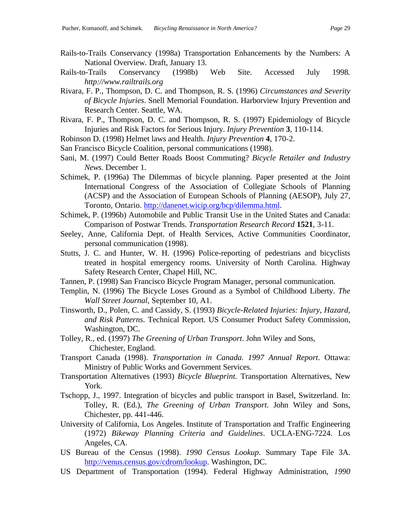- Rails-to-Trails Conservancy (1998a) Transportation Enhancements by the Numbers: A National Overview*.* Draft, January 13.
- Rails-to-Trails Conservancy (1998b) Web Site. Accessed July 1998*. http://www.railtrails.org*
- Rivara, F. P., Thompson, D. C. and Thompson, R. S. (1996) *Circumstances and Severity of Bicycle Injuries*. Snell Memorial Foundation. Harborview Injury Prevention and Research Center. Seattle, WA.
- Rivara, F. P., Thompson, D. C. and Thompson, R. S. (1997) Epidemiology of Bicycle Injuries and Risk Factors for Serious Injury. *Injury Prevention* **3**, 110-114.
- Robinson D. (1998) Helmet laws and Health. *Injury Prevention* **4**, 170-2.
- San Francisco Bicycle Coalition, personal communications (1998).
- Sani, M. (1997) Could Better Roads Boost Commuting? *Bicycle Retailer and Industry News*. December 1.
- Schimek, P. (1996a) The Dilemmas of bicycle planning. Paper presented at the Joint International Congress of the Association of Collegiate Schools of Planning (ACSP) and the Association of European Schools of Planning (AESOP), July 27, Toronto, Ontario. http://danenet.wicip.org/bcp/dilemma.html.
- Schimek, P. (1996b) Automobile and Public Transit Use in the United States and Canada: Comparison of Postwar Trends. *Transportation Research Record* **1521**, 3-11.
- Seeley, Anne, California Dept. of Health Services, Active Communities Coordinator, personal communication (1998).
- Stutts, J. C. and Hunter, W. H. (1996) Police-reporting of pedestrians and bicyclists treated in hospital emergency rooms. University of North Carolina. Highway Safety Research Center, Chapel Hill, NC.
- Tannen, P. (1998) San Francisco Bicycle Program Manager, personal communication.
- Templin, N. (1996) The Bicycle Loses Ground as a Symbol of Childhood Liberty. *The Wall Street Journal*, September 10, A1.
- Tinsworth, D., Polen, C. and Cassidy, S. (1993) *Bicycle-Related Injuries: Injury, Hazard, and Risk Patterns*. Technical Report. US Consumer Product Safety Commission, Washington, DC.
- Tolley, R., ed. (1997) *The Greening of Urban Transport*. John Wiley and Sons, Chichester, England.
- Transport Canada (1998). *Transportation in Canada. 1997 Annual Report*. Ottawa: Ministry of Public Works and Government Services.
- Transportation Alternatives (1993) *Bicycle Blueprint.* Transportation Alternatives, New York.
- Tschopp, J., 1997. Integration of bicycles and public transport in Basel, Switzerland. In: Tolley, R. (Ed.), *The Greening of Urban Transport*. John Wiley and Sons, Chichester, pp. 441-446.
- University of California, Los Angeles. Institute of Transportation and Traffic Engineering (1972) *Bikeway Planning Criteria and Guidelines*. UCLA-ENG-7224. Los Angeles, CA.
- US Bureau of the Census (1998). *1990 Census Lookup*. Summary Tape File 3A. http://venus.census.gov/cdrom/lookup. Washington, DC.
- US Department of Transportation (1994). Federal Highway Administration, *1990*